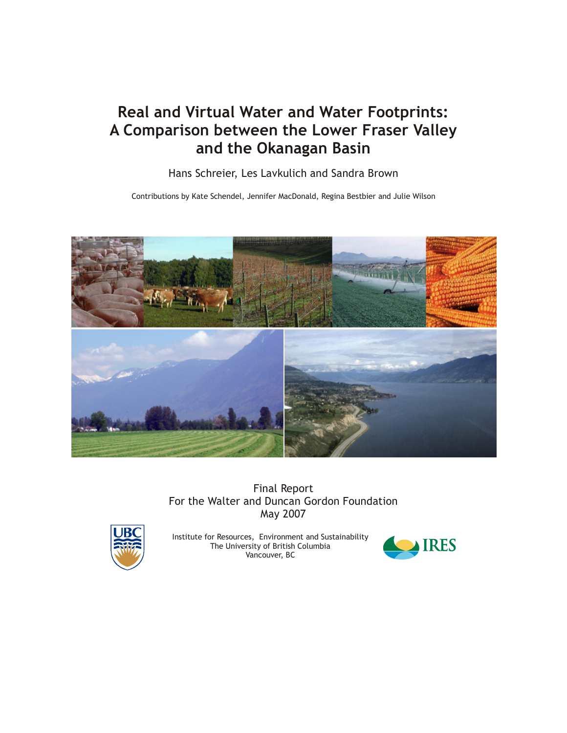# Real and Virtual Water and Water Footprints: A Comparison between the Lower Fraser Valley and the Okanagan Basin

Hans Schreier, Les Lavkulich and Sandra Brown

Contributions by Kate Schendel, Jennifer MacDonald, Regina Bestbier and Julie Wilson



Final Report For the Walter and Duncan Gordon Foundation May 2007



Institute for Resources, Environment and Sustainability The University of British Columbia Vancouver, BC

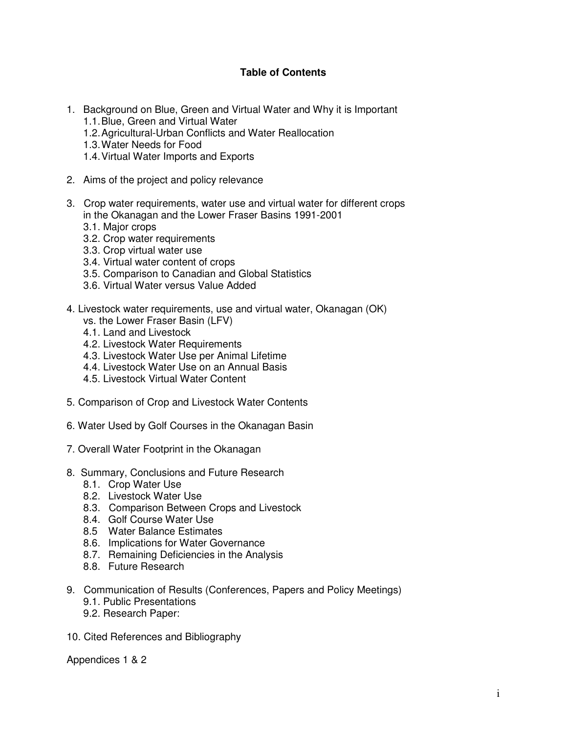## **Table of Contents**

- 1. Background on Blue, Green and Virtual Water and Why it is Important 1.1. Blue, Green and Virtual Water
	- 1.2. Agricultural-Urban Conflicts and Water Reallocation
	- 1.3. Water Needs for Food
	- 1.4. Virtual Water Imports and Exports
- 2. Aims of the project and policy relevance
- 3. Crop water requirements, water use and virtual water for different crops in the Okanagan and the Lower Fraser Basins 1991-2001
	- 3.1. Major crops
	- 3.2. Crop water requirements
	- 3.3. Crop virtual water use
	- 3.4. Virtual water content of crops
	- 3.5. Comparison to Canadian and Global Statistics
	- 3.6. Virtual Water versus Value Added
- 4. Livestock water requirements, use and virtual water, Okanagan (OK)
	- vs. the Lower Fraser Basin (LFV)
	- 4.1. Land and Livestock
	- 4.2. Livestock Water Requirements
	- 4.3. Livestock Water Use per Animal Lifetime
	- 4.4. Livestock Water Use on an Annual Basis
	- 4.5. Livestock Virtual Water Content
- 5. Comparison of Crop and Livestock Water Contents
- 6. Water Used by Golf Courses in the Okanagan Basin
- 7. Overall Water Footprint in the Okanagan
- 8. Summary, Conclusions and Future Research
	- 8.1. Crop Water Use
	- 8.2. Livestock Water Use
	- 8.3. Comparison Between Crops and Livestock
	- 8.4. Golf Course Water Use
	- 8.5 Water Balance Estimates
	- 8.6. Implications for Water Governance
	- 8.7. Remaining Deficiencies in the Analysis
	- 8.8. Future Research
- 9. Communication of Results (Conferences, Papers and Policy Meetings)
	- 9.1. Public Presentations
	- 9.2. Research Paper:
- 10. Cited References and Bibliography

Appendices 1 & 2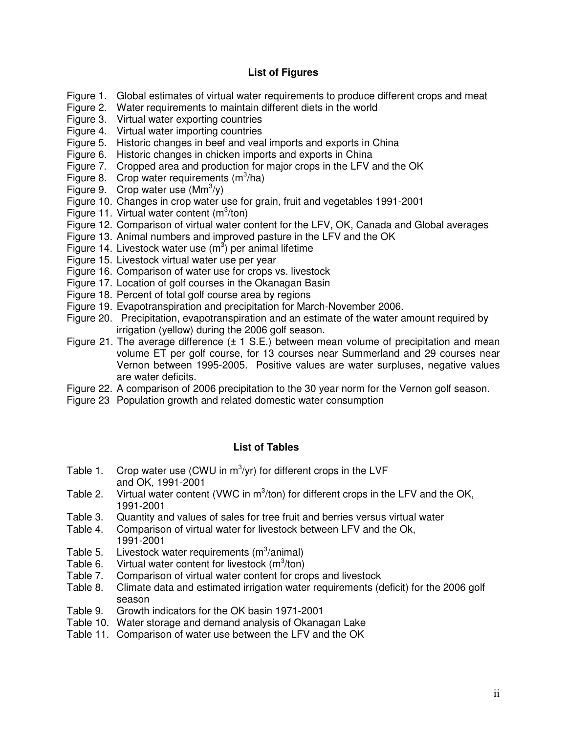# **List of Figures**

- Figure 1. Global estimates of virtual water requirements to produce different crops and meat
- Figure 2. Water requirements to maintain different diets in the world
- Figure 3. Virtual water exporting countries
- Figure 4. Virtual water importing countries
- Figure 5. Historic changes in beef and veal imports and exports in China
- Figure 6. Historic changes in chicken imports and exports in China
- Figure 7. Cropped area and production for major crops in the LFV and the OK
- Figure 8. Crop water requirements  $(m^3/ha)$
- Figure 9. Crop water use  $(Mm^3/y)$
- Figure 10. Changes in crop water use for grain, fruit and vegetables 1991-2001
- Figure 11. Virtual water content  $(m^3/ton)$
- Figure 12. Comparison of virtual water content for the LFV, OK, Canada and Global averages
- Figure 13. Animal numbers and improved pasture in the LFV and the OK
- Figure 14. Livestock water use  $(m^3)$  per animal lifetime
- Figure 15. Livestock virtual water use per year
- Figure 16. Comparison of water use for crops vs. livestock
- Figure 17. Location of golf courses in the Okanagan Basin
- Figure 18. Percent of total golf course area by regions
- Figure 19. Evapotranspiration and precipitation for March-November 2006.
- Figure 20. Precipitation, evapotranspiration and an estimate of the water amount required by irrigation (yellow) during the 2006 golf season.
- Figure 21. The average difference  $(\pm 1 \text{ S.E.})$  between mean volume of precipitation and mean volume ET per golf course, for 13 courses near Summerland and 29 courses near Vernon between 1995-2005. Positive values are water surpluses, negative values are water deficits.
- Figure 22. A comparison of 2006 precipitation to the 30 year norm for the Vernon golf season.
- Figure 23 Population growth and related domestic water consumption

#### **List of Tables**

- Table 1. Crop water use (CWU in  $m^3$ /yr) for different crops in the LVF and OK, 1991-2001
- Table 2. Virtual water content (VWC in  $m^3$ /ton) for different crops in the LFV and the OK, 1991-2001
- Table 3. Quantity and values of sales for tree fruit and berries versus virtual water<br>Table 4. Comparison of virtual water for livestock between LFV and the Ok.
- Comparison of virtual water for livestock between LFV and the Ok, 1991-2001
- Table 5. Livestock water requirements  $(m^3/annial)$
- Table 6. Virtual water content for livestock  $(m^3/ton)$
- Table 7. Comparison of virtual water content for crops and livestock
- Table 8. Climate data and estimated irrigation water requirements (deficit) for the 2006 golf season
- Table 9. Growth indicators for the OK basin 1971-2001
- Table 10. Water storage and demand analysis of Okanagan Lake
- Table 11. Comparison of water use between the LFV and the OK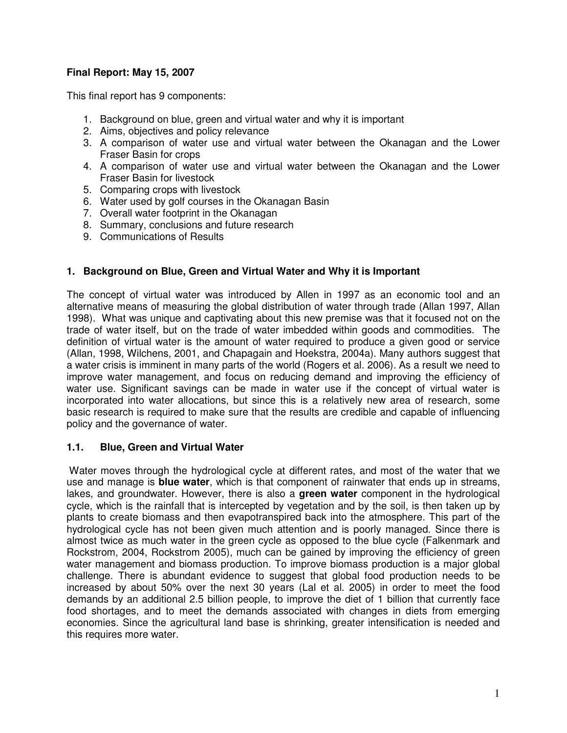# **Final Report: May 15, 2007**

This final report has 9 components:

- 1. Background on blue, green and virtual water and why it is important
- 2. Aims, objectives and policy relevance
- 3. A comparison of water use and virtual water between the Okanagan and the Lower Fraser Basin for crops
- 4. A comparison of water use and virtual water between the Okanagan and the Lower Fraser Basin for livestock
- 5. Comparing crops with livestock
- 6. Water used by golf courses in the Okanagan Basin
- 7. Overall water footprint in the Okanagan
- 8. Summary, conclusions and future research
- 9. Communications of Results

#### **1. Background on Blue, Green and Virtual Water and Why it is Important**

The concept of virtual water was introduced by Allen in 1997 as an economic tool and an alternative means of measuring the global distribution of water through trade (Allan 1997, Allan 1998). What was unique and captivating about this new premise was that it focused not on the trade of water itself, but on the trade of water imbedded within goods and commodities. The definition of virtual water is the amount of water required to produce a given good or service (Allan, 1998, Wilchens, 2001, and Chapagain and Hoekstra, 2004a). Many authors suggest that a water crisis is imminent in many parts of the world (Rogers et al. 2006). As a result we need to improve water management, and focus on reducing demand and improving the efficiency of water use. Significant savings can be made in water use if the concept of virtual water is incorporated into water allocations, but since this is a relatively new area of research, some basic research is required to make sure that the results are credible and capable of influencing policy and the governance of water.

#### **1.1. Blue, Green and Virtual Water**

 Water moves through the hydrological cycle at different rates, and most of the water that we use and manage is **blue water**, which is that component of rainwater that ends up in streams, lakes, and groundwater. However, there is also a **green water** component in the hydrological cycle, which is the rainfall that is intercepted by vegetation and by the soil, is then taken up by plants to create biomass and then evapotranspired back into the atmosphere. This part of the hydrological cycle has not been given much attention and is poorly managed. Since there is almost twice as much water in the green cycle as opposed to the blue cycle (Falkenmark and Rockstrom, 2004, Rockstrom 2005), much can be gained by improving the efficiency of green water management and biomass production. To improve biomass production is a major global challenge. There is abundant evidence to suggest that global food production needs to be increased by about 50% over the next 30 years (Lal et al. 2005) in order to meet the food demands by an additional 2.5 billion people, to improve the diet of 1 billion that currently face food shortages, and to meet the demands associated with changes in diets from emerging economies. Since the agricultural land base is shrinking, greater intensification is needed and this requires more water.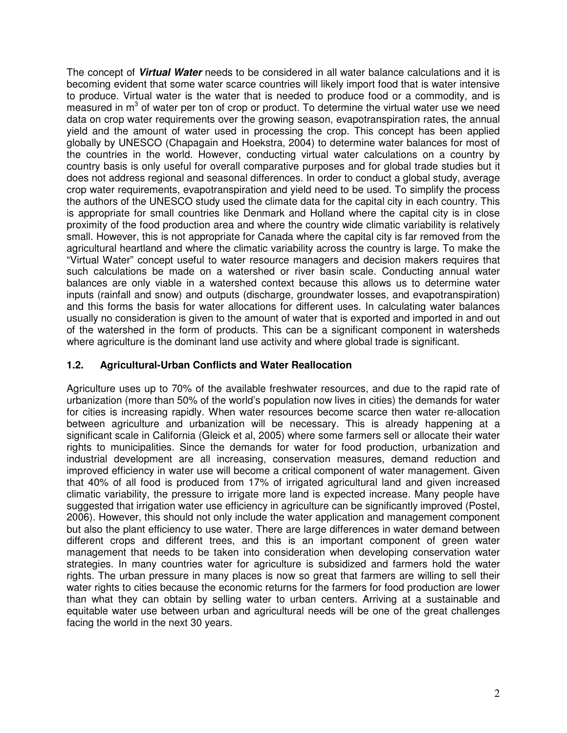The concept of **Virtual Water** needs to be considered in all water balance calculations and it is becoming evident that some water scarce countries will likely import food that is water intensive to produce. Virtual water is the water that is needed to produce food or a commodity, and is measured in  $m<sup>3</sup>$  of water per ton of crop or product. To determine the virtual water use we need data on crop water requirements over the growing season, evapotranspiration rates, the annual yield and the amount of water used in processing the crop. This concept has been applied globally by UNESCO (Chapagain and Hoekstra, 2004) to determine water balances for most of the countries in the world. However, conducting virtual water calculations on a country by country basis is only useful for overall comparative purposes and for global trade studies but it does not address regional and seasonal differences. In order to conduct a global study, average crop water requirements, evapotranspiration and yield need to be used. To simplify the process the authors of the UNESCO study used the climate data for the capital city in each country. This is appropriate for small countries like Denmark and Holland where the capital city is in close proximity of the food production area and where the country wide climatic variability is relatively small. However, this is not appropriate for Canada where the capital city is far removed from the agricultural heartland and where the climatic variability across the country is large. To make the "Virtual Water" concept useful to water resource managers and decision makers requires that such calculations be made on a watershed or river basin scale. Conducting annual water balances are only viable in a watershed context because this allows us to determine water inputs (rainfall and snow) and outputs (discharge, groundwater losses, and evapotranspiration) and this forms the basis for water allocations for different uses. In calculating water balances usually no consideration is given to the amount of water that is exported and imported in and out of the watershed in the form of products. This can be a significant component in watersheds where agriculture is the dominant land use activity and where global trade is significant.

# **1.2. Agricultural-Urban Conflicts and Water Reallocation**

Agriculture uses up to 70% of the available freshwater resources, and due to the rapid rate of urbanization (more than 50% of the world's population now lives in cities) the demands for water for cities is increasing rapidly. When water resources become scarce then water re-allocation between agriculture and urbanization will be necessary. This is already happening at a significant scale in California (Gleick et al, 2005) where some farmers sell or allocate their water rights to municipalities. Since the demands for water for food production, urbanization and industrial development are all increasing, conservation measures, demand reduction and improved efficiency in water use will become a critical component of water management. Given that 40% of all food is produced from 17% of irrigated agricultural land and given increased climatic variability, the pressure to irrigate more land is expected increase. Many people have suggested that irrigation water use efficiency in agriculture can be significantly improved (Postel, 2006). However, this should not only include the water application and management component but also the plant efficiency to use water. There are large differences in water demand between different crops and different trees, and this is an important component of green water management that needs to be taken into consideration when developing conservation water strategies. In many countries water for agriculture is subsidized and farmers hold the water rights. The urban pressure in many places is now so great that farmers are willing to sell their water rights to cities because the economic returns for the farmers for food production are lower than what they can obtain by selling water to urban centers. Arriving at a sustainable and equitable water use between urban and agricultural needs will be one of the great challenges facing the world in the next 30 years.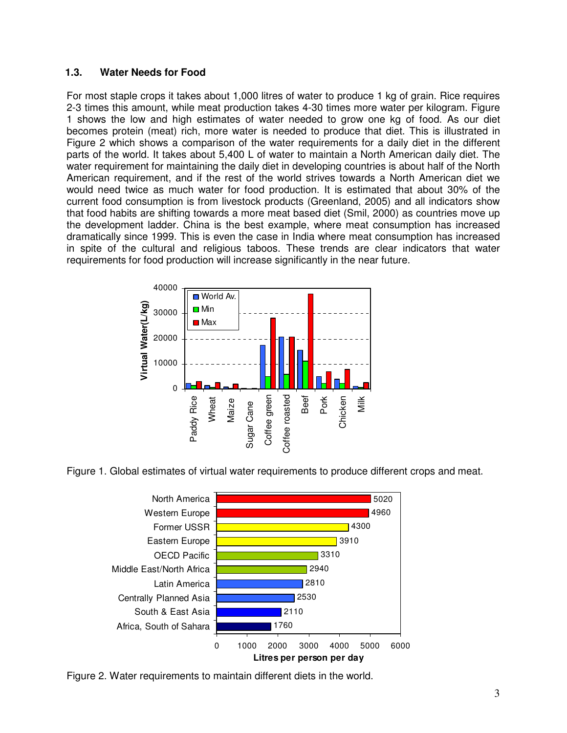#### **1.3. Water Needs for Food**

For most staple crops it takes about 1,000 litres of water to produce 1 kg of grain. Rice requires 2-3 times this amount, while meat production takes 4-30 times more water per kilogram. Figure 1 shows the low and high estimates of water needed to grow one kg of food. As our diet becomes protein (meat) rich, more water is needed to produce that diet. This is illustrated in Figure 2 which shows a comparison of the water requirements for a daily diet in the different parts of the world. It takes about 5,400 L of water to maintain a North American daily diet. The water requirement for maintaining the daily diet in developing countries is about half of the North American requirement, and if the rest of the world strives towards a North American diet we would need twice as much water for food production. It is estimated that about 30% of the current food consumption is from livestock products (Greenland, 2005) and all indicators show that food habits are shifting towards a more meat based diet (Smil, 2000) as countries move up the development ladder. China is the best example, where meat consumption has increased dramatically since 1999. This is even the case in India where meat consumption has increased in spite of the cultural and religious taboos. These trends are clear indicators that water requirements for food production will increase significantly in the near future.



Figure 1. Global estimates of virtual water requirements to produce different crops and meat.



Figure 2. Water requirements to maintain different diets in the world.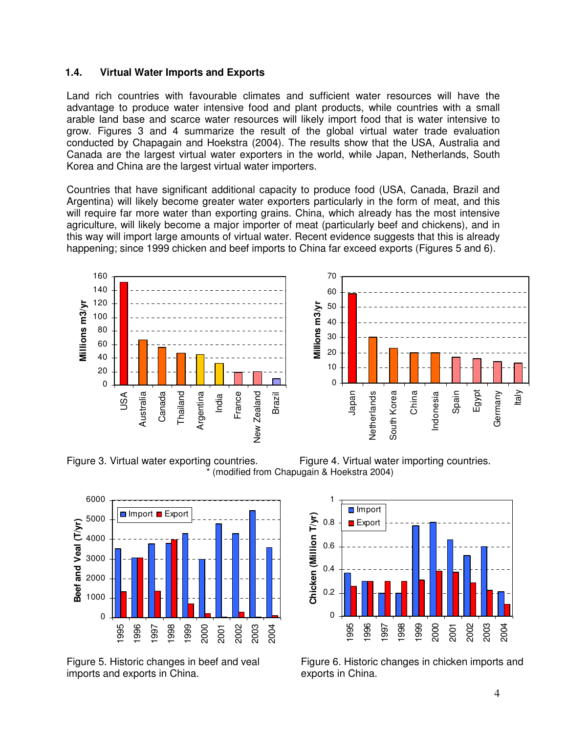#### **1.4. Virtual Water Imports and Exports**

Land rich countries with favourable climates and sufficient water resources will have the advantage to produce water intensive food and plant products, while countries with a small arable land base and scarce water resources will likely import food that is water intensive to grow. Figures 3 and 4 summarize the result of the global virtual water trade evaluation conducted by Chapagain and Hoekstra (2004). The results show that the USA, Australia and Canada are the largest virtual water exporters in the world, while Japan, Netherlands, South Korea and China are the largest virtual water importers.

Countries that have significant additional capacity to produce food (USA, Canada, Brazil and Argentina) will likely become greater water exporters particularly in the form of meat, and this will require far more water than exporting grains. China, which already has the most intensive agriculture, will likely become a major importer of meat (particularly beef and chickens), and in this way will import large amounts of virtual water. Recent evidence suggests that this is already happening; since 1999 chicken and beef imports to China far exceed exports (Figures 5 and 6).









Figure 5. Historic changes in beef and veal imports and exports in China.



Figure 6. Historic changes in chicken imports and exports in China.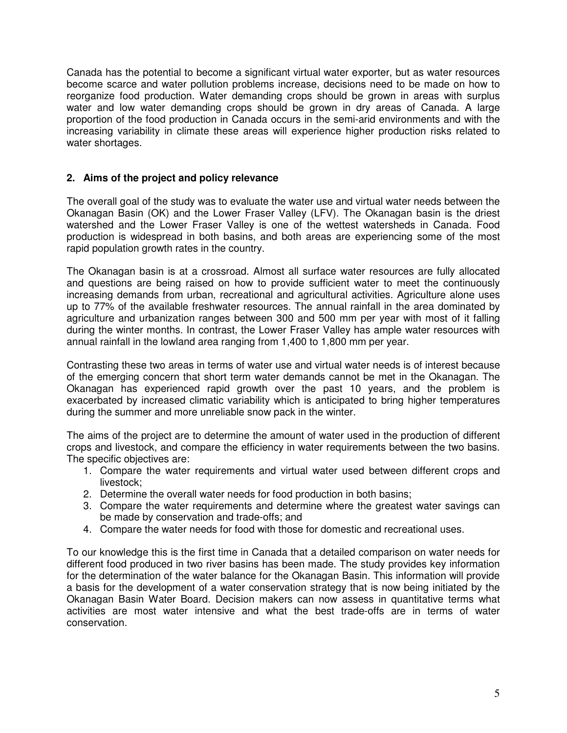Canada has the potential to become a significant virtual water exporter, but as water resources become scarce and water pollution problems increase, decisions need to be made on how to reorganize food production. Water demanding crops should be grown in areas with surplus water and low water demanding crops should be grown in dry areas of Canada. A large proportion of the food production in Canada occurs in the semi-arid environments and with the increasing variability in climate these areas will experience higher production risks related to water shortages.

# **2. Aims of the project and policy relevance**

The overall goal of the study was to evaluate the water use and virtual water needs between the Okanagan Basin (OK) and the Lower Fraser Valley (LFV). The Okanagan basin is the driest watershed and the Lower Fraser Valley is one of the wettest watersheds in Canada. Food production is widespread in both basins, and both areas are experiencing some of the most rapid population growth rates in the country.

The Okanagan basin is at a crossroad. Almost all surface water resources are fully allocated and questions are being raised on how to provide sufficient water to meet the continuously increasing demands from urban, recreational and agricultural activities. Agriculture alone uses up to 77% of the available freshwater resources. The annual rainfall in the area dominated by agriculture and urbanization ranges between 300 and 500 mm per year with most of it falling during the winter months. In contrast, the Lower Fraser Valley has ample water resources with annual rainfall in the lowland area ranging from 1,400 to 1,800 mm per year.

Contrasting these two areas in terms of water use and virtual water needs is of interest because of the emerging concern that short term water demands cannot be met in the Okanagan. The Okanagan has experienced rapid growth over the past 10 years, and the problem is exacerbated by increased climatic variability which is anticipated to bring higher temperatures during the summer and more unreliable snow pack in the winter.

The aims of the project are to determine the amount of water used in the production of different crops and livestock, and compare the efficiency in water requirements between the two basins. The specific objectives are:

- 1. Compare the water requirements and virtual water used between different crops and livestock;
- 2. Determine the overall water needs for food production in both basins;
- 3. Compare the water requirements and determine where the greatest water savings can be made by conservation and trade-offs; and
- 4. Compare the water needs for food with those for domestic and recreational uses.

To our knowledge this is the first time in Canada that a detailed comparison on water needs for different food produced in two river basins has been made. The study provides key information for the determination of the water balance for the Okanagan Basin. This information will provide a basis for the development of a water conservation strategy that is now being initiated by the Okanagan Basin Water Board. Decision makers can now assess in quantitative terms what activities are most water intensive and what the best trade-offs are in terms of water conservation.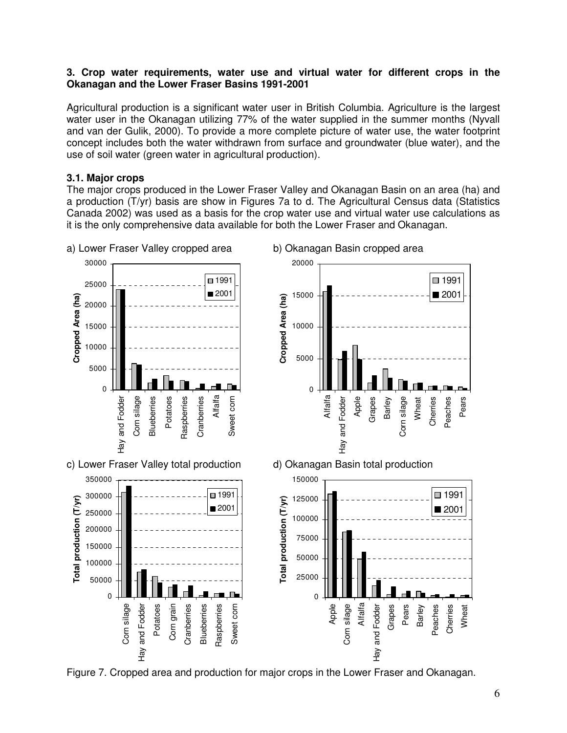#### **3. Crop water requirements, water use and virtual water for different crops in the Okanagan and the Lower Fraser Basins 1991-2001**

Agricultural production is a significant water user in British Columbia. Agriculture is the largest water user in the Okanagan utilizing 77% of the water supplied in the summer months (Nyvall and van der Gulik, 2000). To provide a more complete picture of water use, the water footprint concept includes both the water withdrawn from surface and groundwater (blue water), and the use of soil water (green water in agricultural production).

## **3.1. Major crops**

The major crops produced in the Lower Fraser Valley and Okanagan Basin on an area (ha) and a production (T/yr) basis are show in Figures 7a to d. The Agricultural Census data (Statistics Canada 2002) was used as a basis for the crop water use and virtual water use calculations as it is the only comprehensive data available for both the Lower Fraser and Okanagan.



Figure 7. Cropped area and production for major crops in the Lower Fraser and Okanagan.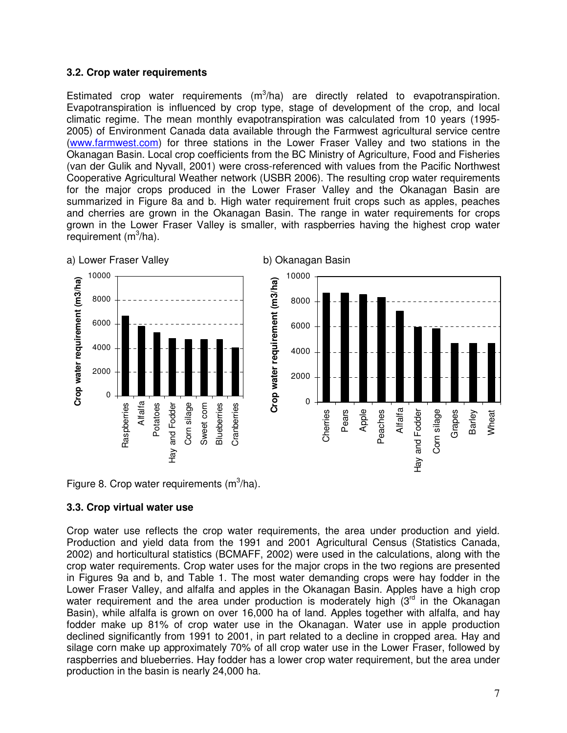## **3.2. Crop water requirements**

Estimated crop water requirements  $(m^3/ha)$  are directly related to evapotranspiration. Evapotranspiration is influenced by crop type, stage of development of the crop, and local climatic regime. The mean monthly evapotranspiration was calculated from 10 years (1995- 2005) of Environment Canada data available through the Farmwest agricultural service centre (www.farmwest.com) for three stations in the Lower Fraser Valley and two stations in the Okanagan Basin. Local crop coefficients from the BC Ministry of Agriculture, Food and Fisheries (van der Gulik and Nyvall, 2001) were cross-referenced with values from the Pacific Northwest Cooperative Agricultural Weather network (USBR 2006). The resulting crop water requirements for the major crops produced in the Lower Fraser Valley and the Okanagan Basin are summarized in Figure 8a and b. High water requirement fruit crops such as apples, peaches and cherries are grown in the Okanagan Basin. The range in water requirements for crops grown in the Lower Fraser Valley is smaller, with raspberries having the highest crop water requirement  $(m^3/ha)$ .



Figure 8. Crop water requirements  $(m^3/ha)$ .

# **3.3. Crop virtual water use**

Crop water use reflects the crop water requirements, the area under production and yield. Production and yield data from the 1991 and 2001 Agricultural Census (Statistics Canada, 2002) and horticultural statistics (BCMAFF, 2002) were used in the calculations, along with the crop water requirements. Crop water uses for the major crops in the two regions are presented in Figures 9a and b, and Table 1. The most water demanding crops were hay fodder in the Lower Fraser Valley, and alfalfa and apples in the Okanagan Basin. Apples have a high crop water requirement and the area under production is moderately high  $(3<sup>rd</sup>$  in the Okanagan Basin), while alfalfa is grown on over 16,000 ha of land. Apples together with alfalfa, and hay fodder make up 81% of crop water use in the Okanagan. Water use in apple production declined significantly from 1991 to 2001, in part related to a decline in cropped area. Hay and silage corn make up approximately 70% of all crop water use in the Lower Fraser, followed by raspberries and blueberries. Hay fodder has a lower crop water requirement, but the area under production in the basin is nearly 24,000 ha.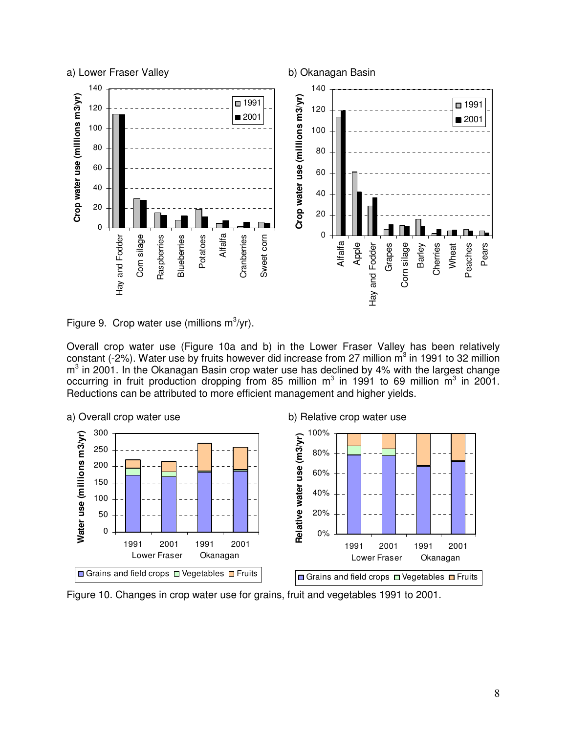



Overall crop water use (Figure 10a and b) in the Lower Fraser Valley has been relatively constant (-2%). Water use by fruits however did increase from 27 million  $m^3$  in 1991 to 32 million  $m<sup>3</sup>$  in 2001. In the Okanagan Basin crop water use has declined by 4% with the largest change occurring in fruit production dropping from 85 million  $m^3$  in 1991 to 69 million  $m^3$  in 2001. Reductions can be attributed to more efficient management and higher yields.



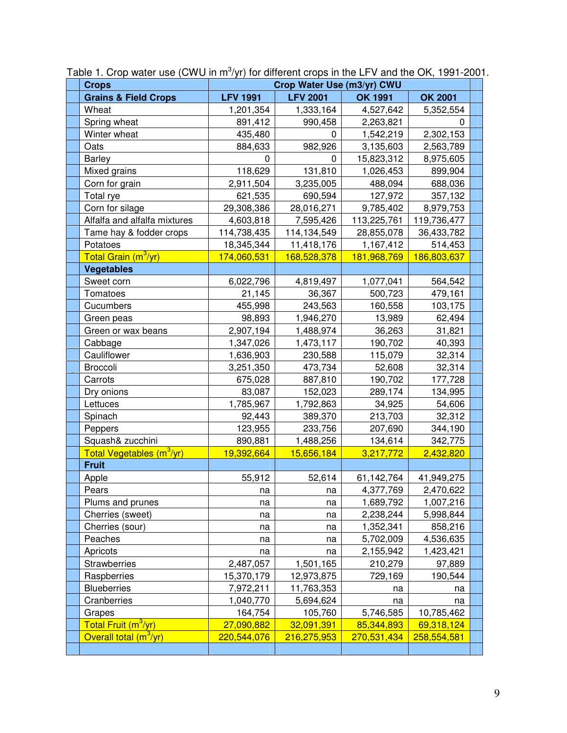| <b>Crops</b>                          | Crop Water Use (m3/yr) CWU |                 |                         |                         |  |
|---------------------------------------|----------------------------|-----------------|-------------------------|-------------------------|--|
| <b>Grains &amp; Field Crops</b>       | <b>LFV 1991</b>            | <b>LFV 2001</b> | <b>OK 1991</b>          | OK 2001                 |  |
| Wheat                                 | 1,201,354                  | 1,333,164       | 4,527,642               | 5,352,554               |  |
| Spring wheat                          | 891,412                    | 990,458         | 2,263,821               | 0                       |  |
| Winter wheat                          | 435,480                    | 0               | 1,542,219               | 2,302,153               |  |
| Oats                                  | 884,633                    | 982,926         | 3,135,603               | 2,563,789               |  |
| <b>Barley</b>                         | 0                          | 0               | 15,823,312              | 8,975,605               |  |
| Mixed grains                          | 118,629                    | 131,810         | 1,026,453               | 899,904                 |  |
| Corn for grain                        | 2,911,504                  | 3,235,005       | 488,094                 | 688,036                 |  |
| Total rye                             | 621,535                    | 690,594         | 127,972                 | 357,132                 |  |
| Corn for silage                       | 29,308,386                 | 28,016,271      | 9,785,402               | 8,979,753               |  |
| Alfalfa and alfalfa mixtures          | 4,603,818                  | 7,595,426       | 113,225,761             | 119,736,477             |  |
| Tame hay & fodder crops               | 114,738,435                | 114,134,549     | 28,855,078              | 36,433,782              |  |
| Potatoes                              | 18,345,344                 | 11,418,176      | 1,167,412               | 514,453                 |  |
| Total Grain (m <sup>3</sup> /yr)      | 174,060,531                | 168,528,378     | 181,968,769             | 186,803,637             |  |
| <b>Vegetables</b>                     |                            |                 |                         |                         |  |
| Sweet corn                            | 6,022,796                  | 4,819,497       | 1,077,041               | 564,542                 |  |
| Tomatoes                              | 21,145                     | 36,367          | 500,723                 | 479,161                 |  |
| Cucumbers                             | 455,998                    | 243,563         | 160,558                 | 103,175                 |  |
| Green peas                            | 98,893                     | 1,946,270       | 13,989                  | 62,494                  |  |
| Green or wax beans                    | 2,907,194                  | 1,488,974       | 36,263                  | 31,821                  |  |
| Cabbage                               | 1,347,026                  | 1,473,117       | 190,702                 | 40,393                  |  |
| Cauliflower                           | 1,636,903                  | 230,588         | 115,079                 | 32,314                  |  |
| Broccoli                              | 3,251,350                  | 473,734         | 52,608                  | 32,314                  |  |
| Carrots                               | 675,028                    | 887,810         | 190,702                 | 177,728                 |  |
| Dry onions                            | 83,087                     | 152,023         | 289,174                 | 134,995                 |  |
| Lettuces                              | 1,785,967                  | 1,792,863       | 34,925                  | 54,606                  |  |
| Spinach                               | 92,443                     | 389,370         | 213,703                 | 32,312                  |  |
| Peppers                               | 123,955                    | 233,756         | 207,690                 | 344,190                 |  |
| Squash& zucchini                      | 890,881                    | 1,488,256       | 134,614                 | 342,775                 |  |
| Total Vegetables (m <sup>3</sup> /yr) | 19,392,664                 | 15,656,184      | 3,217,772               | 2,432,820               |  |
| <b>Fruit</b>                          |                            |                 |                         |                         |  |
| Apple                                 | 55,912                     | 52,614          | 61,142,764<br>4,377,769 | 41,949,275<br>2,470,622 |  |
| Pears                                 | na                         | na              |                         | 1,007,216               |  |
| Plums and prunes<br>Cherries (sweet)  | na                         | na              | 1,689,792<br>2,238,244  | 5,998,844               |  |
| Cherries (sour)                       | na<br>na                   | na<br>na        | 1,352,341               | 858,216                 |  |
| Peaches                               | na                         | na              | 5,702,009               | 4,536,635               |  |
| Apricots                              | na                         | na              | 2,155,942               | 1,423,421               |  |
| <b>Strawberries</b>                   | 2,487,057                  | 1,501,165       | 210,279                 | 97,889                  |  |
| Raspberries                           | 15,370,179                 | 12,973,875      | 729,169                 | 190,544                 |  |
| <b>Blueberries</b>                    | 7,972,211                  | 11,763,353      | na                      | na                      |  |
| Cranberries                           | 1,040,770                  | 5,694,624       | na                      | na                      |  |
| Grapes                                | 164,754                    | 105,760         | 5,746,585               | 10,785,462              |  |
| Total Fruit (m <sup>3</sup> /yr)      | 27,090,882                 | 32,091,391      | 85,344,893              | 69,318,124              |  |
| Overall total $(m^3/yr)$              | 220,544,076                | 216,275,953     | 270,531,434             | 258,554,581             |  |
|                                       |                            |                 |                         |                         |  |

Table 1. Crop water use (CWU in  $m^3$ /yr) for different crops in the LFV and the OK, 1991-2001.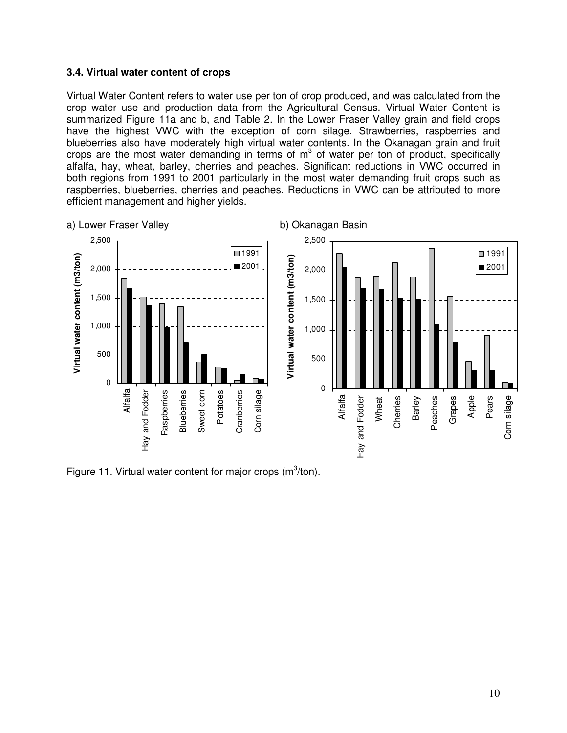#### **3.4. Virtual water content of crops**

Virtual Water Content refers to water use per ton of crop produced, and was calculated from the crop water use and production data from the Agricultural Census. Virtual Water Content is summarized Figure 11a and b, and Table 2. In the Lower Fraser Valley grain and field crops have the highest VWC with the exception of corn silage. Strawberries, raspberries and blueberries also have moderately high virtual water contents. In the Okanagan grain and fruit crops are the most water demanding in terms of  $m<sup>3</sup>$  of water per ton of product, specifically alfalfa, hay, wheat, barley, cherries and peaches. Significant reductions in VWC occurred in both regions from 1991 to 2001 particularly in the most water demanding fruit crops such as raspberries, blueberries, cherries and peaches. Reductions in VWC can be attributed to more efficient management and higher yields.



Figure 11. Virtual water content for major crops  $(m^3/ton)$ .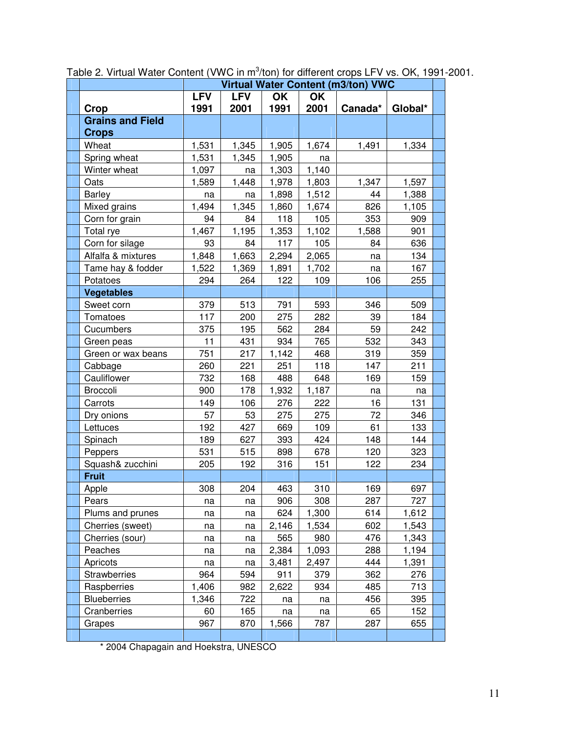| <b>Virtual Water Content (m3/ton) VWC</b> |            |            |       |       |         |         |  |
|-------------------------------------------|------------|------------|-------|-------|---------|---------|--|
|                                           | <b>LFV</b> | <b>LFV</b> | OK    | OK    |         |         |  |
| Crop                                      | 1991       | 2001       | 1991  | 2001  | Canada* | Global* |  |
| <b>Grains and Field</b>                   |            |            |       |       |         |         |  |
| <b>Crops</b>                              |            |            |       |       |         |         |  |
| Wheat                                     | 1,531      | 1,345      | 1,905 | 1,674 | 1,491   | 1,334   |  |
| Spring wheat                              | 1,531      | 1,345      | 1,905 | na    |         |         |  |
| Winter wheat                              | 1,097      | na         | 1,303 | 1,140 |         |         |  |
| Oats                                      | 1,589      | 1,448      | 1,978 | 1,803 | 1,347   | 1,597   |  |
| <b>Barley</b>                             | na         | na         | 1,898 | 1,512 | 44      | 1,388   |  |
| Mixed grains                              | 1,494      | 1,345      | 1,860 | 1,674 | 826     | 1,105   |  |
| Corn for grain                            | 94         | 84         | 118   | 105   | 353     | 909     |  |
| Total rye                                 | 1,467      | 1,195      | 1,353 | 1,102 | 1,588   | 901     |  |
| Corn for silage                           | 93         | 84         | 117   | 105   | 84      | 636     |  |
| Alfalfa & mixtures                        | 1,848      | 1,663      | 2,294 | 2,065 | na      | 134     |  |
| Tame hay & fodder                         | 1,522      | 1,369      | 1,891 | 1,702 | na      | 167     |  |
| Potatoes                                  | 294        | 264        | 122   | 109   | 106     | 255     |  |
| <b>Vegetables</b>                         |            |            |       |       |         |         |  |
| Sweet corn                                | 379        | 513        | 791   | 593   | 346     | 509     |  |
| Tomatoes                                  | 117        | 200        | 275   | 282   | 39      | 184     |  |
| Cucumbers                                 | 375        | 195        | 562   | 284   | 59      | 242     |  |
| Green peas                                | 11         | 431        | 934   | 765   | 532     | 343     |  |
| Green or wax beans                        | 751        | 217        | 1,142 | 468   | 319     | 359     |  |
| Cabbage                                   | 260        | 221        | 251   | 118   | 147     | 211     |  |
| Cauliflower                               | 732        | 168        | 488   | 648   | 169     | 159     |  |
| Broccoli                                  | 900        | 178        | 1,932 | 1,187 | na      | na      |  |
| Carrots                                   | 149        | 106        | 276   | 222   | 16      | 131     |  |
| Dry onions                                | 57         | 53         | 275   | 275   | 72      | 346     |  |
| Lettuces                                  | 192        | 427        | 669   | 109   | 61      | 133     |  |
| Spinach                                   | 189        | 627        | 393   | 424   | 148     | 144     |  |
| Peppers                                   | 531        | 515        | 898   | 678   | 120     | 323     |  |
| Squash& zucchini                          | 205        | 192        | 316   | 151   | 122     | 234     |  |
| <b>Fruit</b>                              |            |            |       |       |         |         |  |
| Apple                                     | 308        | 204        | 463   | 310   | 169     | 697     |  |
| Pears                                     | na         | na         | 906   | 308   | 287     | 727     |  |
| Plums and prunes                          | na         | na         | 624   | 1,300 | 614     | 1,612   |  |
| Cherries (sweet)                          | na         | na         | 2,146 | 1,534 | 602     | 1,543   |  |
| Cherries (sour)                           | na         | na         | 565   | 980   | 476     | 1,343   |  |
| Peaches                                   | na         | na         | 2,384 | 1,093 | 288     | 1,194   |  |
| Apricots                                  | na         | na         | 3,481 | 2,497 | 444     | 1,391   |  |
| <b>Strawberries</b>                       | 964        | 594        | 911   | 379   | 362     | 276     |  |
| Raspberries                               | 1,406      | 982        | 2,622 | 934   | 485     | 713     |  |
| <b>Blueberries</b>                        | 1,346      | 722        | na    | na    | 456     | 395     |  |
| Cranberries                               | 60         | 165        | na    | na    | 65      | 152     |  |
| Grapes                                    | 967        | 870        | 1,566 | 787   | 287     | 655     |  |
|                                           |            |            |       |       |         |         |  |

Table 2. Virtual Water Content (VWC in m<sup>3</sup>/ton) for different crops LFV vs. OK, 1991-2001.

\* 2004 Chapagain and Hoekstra, UNESCO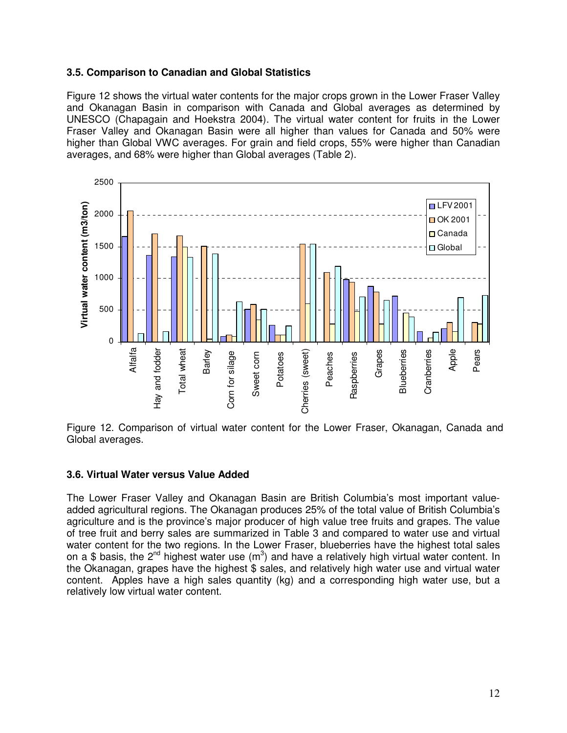## **3.5. Comparison to Canadian and Global Statistics**

Figure 12 shows the virtual water contents for the major crops grown in the Lower Fraser Valley and Okanagan Basin in comparison with Canada and Global averages as determined by UNESCO (Chapagain and Hoekstra 2004). The virtual water content for fruits in the Lower Fraser Valley and Okanagan Basin were all higher than values for Canada and 50% were higher than Global VWC averages. For grain and field crops, 55% were higher than Canadian averages, and 68% were higher than Global averages (Table 2).



Figure 12. Comparison of virtual water content for the Lower Fraser, Okanagan, Canada and Global averages.

#### **3.6. Virtual Water versus Value Added**

The Lower Fraser Valley and Okanagan Basin are British Columbia's most important valueadded agricultural regions. The Okanagan produces 25% of the total value of British Columbia's agriculture and is the province's major producer of high value tree fruits and grapes. The value of tree fruit and berry sales are summarized in Table 3 and compared to water use and virtual water content for the two regions. In the Lower Fraser, blueberries have the highest total sales on a \$ basis, the 2<sup>nd</sup> highest water use (m<sup>3</sup>) and have a relatively high virtual water content. In the Okanagan, grapes have the highest \$ sales, and relatively high water use and virtual water content. Apples have a high sales quantity (kg) and a corresponding high water use, but a relatively low virtual water content.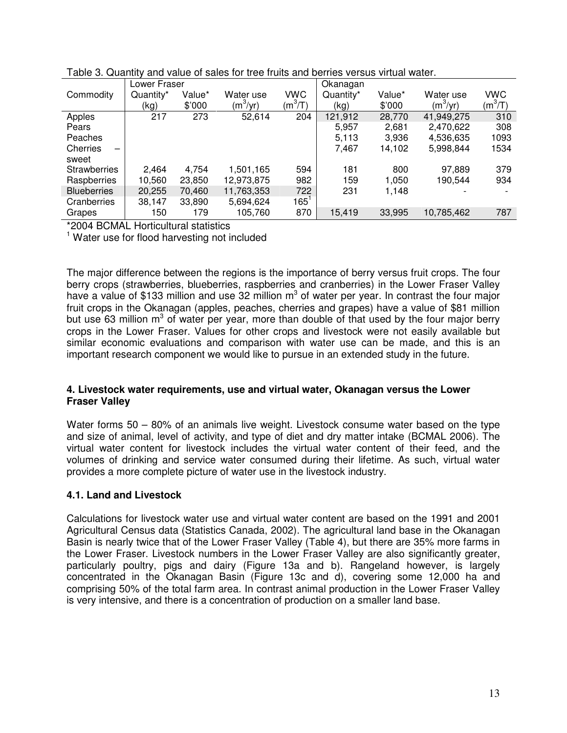|                     | Lower Fraser |        |            |            | Okanagan  |        |            |           |
|---------------------|--------------|--------|------------|------------|-----------|--------|------------|-----------|
| Commodity           | Quantity*    | Value* | Water use  | <b>VWC</b> | Quantity* | Value* | Water use  | VWC       |
|                     | (kg)         | \$'000 | $(m^3/yr)$ | $(m^3/T)$  | (kg)      | \$'000 | $(m^3/yr)$ | $(m^3/T)$ |
| Apples              | 217          | 273    | 52,614     | 204        | 121,912   | 28,770 | 41,949,275 | 310       |
| Pears               |              |        |            |            | 5,957     | 2,681  | 2,470,622  | 308       |
| Peaches             |              |        |            |            | 5,113     | 3,936  | 4,536,635  | 1093      |
| Cherries            |              |        |            |            | 7,467     | 14,102 | 5,998,844  | 1534      |
| sweet               |              |        |            |            |           |        |            |           |
| <b>Strawberries</b> | 2,464        | 4,754  | 1,501,165  | 594        | 181       | 800    | 97,889     | 379       |
| Raspberries         | 10,560       | 23,850 | 12,973,875 | 982        | 159       | 1,050  | 190,544    | 934       |
| <b>Blueberries</b>  | 20,255       | 70,460 | 11,763,353 | 722        | 231       | 1,148  |            |           |
| Cranberries         | 38,147       | 33,890 | 5,694,624  | $165^1$    |           |        |            |           |
| Grapes              | 150          | 179    | 105.760    | 870        | 15,419    | 33,995 | 10,785,462 | 787       |

| Table 3. Quantity and value of sales for tree fruits and berries versus virtual water. |
|----------------------------------------------------------------------------------------|
|----------------------------------------------------------------------------------------|

\*2004 BCMAL Horticultural statistics

<sup>1</sup> Water use for flood harvesting not included

The major difference between the regions is the importance of berry versus fruit crops. The four berry crops (strawberries, blueberries, raspberries and cranberries) in the Lower Fraser Valley have a value of \$133 million and use 32 million  $m^3$  of water per year. In contrast the four major fruit crops in the Okanagan (apples, peaches, cherries and grapes) have a value of \$81 million but use 63 million  $m^3$  of water per year, more than double of that used by the four major berry crops in the Lower Fraser. Values for other crops and livestock were not easily available but similar economic evaluations and comparison with water use can be made, and this is an important research component we would like to pursue in an extended study in the future.

## **4. Livestock water requirements, use and virtual water, Okanagan versus the Lower Fraser Valley**

Water forms 50 – 80% of an animals live weight. Livestock consume water based on the type and size of animal, level of activity, and type of diet and dry matter intake (BCMAL 2006). The virtual water content for livestock includes the virtual water content of their feed, and the volumes of drinking and service water consumed during their lifetime. As such, virtual water provides a more complete picture of water use in the livestock industry.

# **4.1. Land and Livestock**

Calculations for livestock water use and virtual water content are based on the 1991 and 2001 Agricultural Census data (Statistics Canada, 2002). The agricultural land base in the Okanagan Basin is nearly twice that of the Lower Fraser Valley (Table 4), but there are 35% more farms in the Lower Fraser. Livestock numbers in the Lower Fraser Valley are also significantly greater, particularly poultry, pigs and dairy (Figure 13a and b). Rangeland however, is largely concentrated in the Okanagan Basin (Figure 13c and d), covering some 12,000 ha and comprising 50% of the total farm area. In contrast animal production in the Lower Fraser Valley is very intensive, and there is a concentration of production on a smaller land base.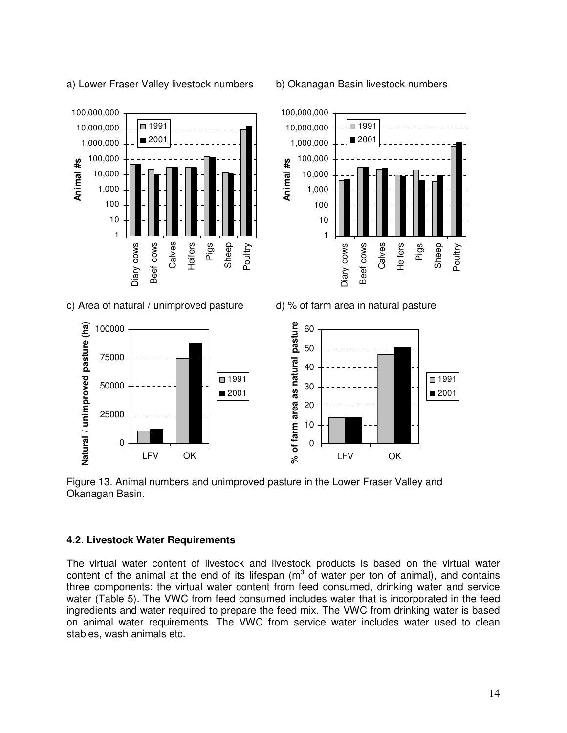a) Lower Fraser Valley livestock numbers b) Okanagan Basin livestock numbers



c) Area of natural / unimproved pasture d) % of farm area in natural pasture







Figure 13. Animal numbers and unimproved pasture in the Lower Fraser Valley and Okanagan Basin.

#### **4.2**. **Livestock Water Requirements**

The virtual water content of livestock and livestock products is based on the virtual water content of the animal at the end of its lifespan ( $m<sup>3</sup>$  of water per ton of animal), and contains three components: the virtual water content from feed consumed, drinking water and service water (Table 5). The VWC from feed consumed includes water that is incorporated in the feed ingredients and water required to prepare the feed mix. The VWC from drinking water is based on animal water requirements. The VWC from service water includes water used to clean stables, wash animals etc.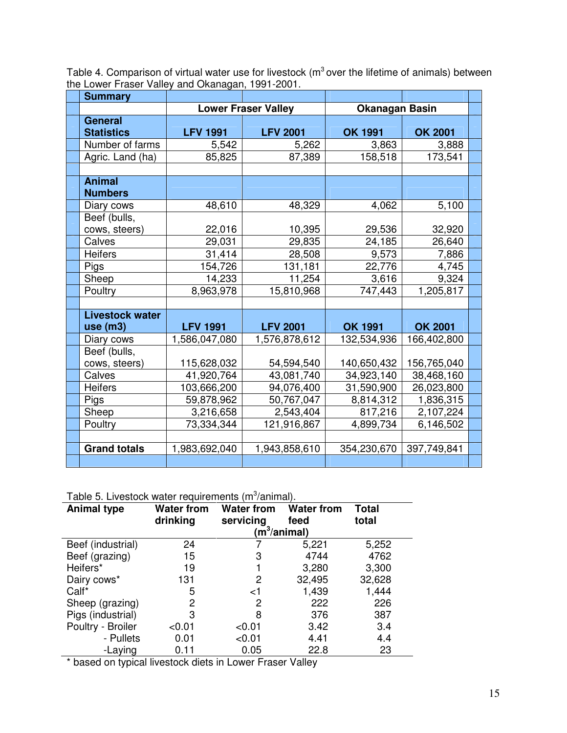Table 4. Comparison of virtual water use for livestock ( $m<sup>3</sup>$  over the lifetime of animals) between the Lower Fraser Valley and Okanagan, 1991-2001.

| <b>Summary</b>                      |                 |                            |                       |                |  |
|-------------------------------------|-----------------|----------------------------|-----------------------|----------------|--|
|                                     |                 | <b>Lower Fraser Valley</b> | <b>Okanagan Basin</b> |                |  |
| <b>General</b><br><b>Statistics</b> | <b>LFV 1991</b> | <b>LFV 2001</b>            | <b>OK 1991</b>        | <b>OK 2001</b> |  |
| Number of farms                     | 5,542           | 5,262                      | 3,863                 | 3,888          |  |
| Agric. Land (ha)                    | 85,825          | 87,389                     | 158,518               | 173,541        |  |
|                                     |                 |                            |                       |                |  |
| <b>Animal</b><br><b>Numbers</b>     |                 |                            |                       |                |  |
| Diary cows                          | 48,610          | 48,329                     | 4,062                 | 5,100          |  |
| Beef (bulls,<br>cows, steers)       | 22,016          | 10,395                     | 29,536                | 32,920         |  |
| Calves                              | 29,031          | 29,835                     | 24,185                | 26,640         |  |
| <b>Heifers</b>                      | 31,414          | 28,508                     | 9,573                 | 7,886          |  |
| Pigs                                | 154,726         | 131,181                    | 22,776                | 4,745          |  |
| Sheep                               | 14,233          | 11,254                     | 3,616                 | 9,324          |  |
| Poultry                             | 8,963,978       | 15,810,968                 | 747,443               | 1,205,817      |  |
|                                     |                 |                            |                       |                |  |
| <b>Livestock water</b>              |                 |                            |                       |                |  |
| use(m3)                             | <b>LFV 1991</b> | <b>LFV 2001</b>            | <b>OK 1991</b>        | <b>OK 2001</b> |  |
| Diary cows                          | 1,586,047,080   | 1,576,878,612              | 132,534,936           | 166,402,800    |  |
| Beef (bulls,<br>cows, steers)       | 115,628,032     | 54,594,540                 | 140,650,432           | 156,765,040    |  |
| Calves                              | 41,920,764      | 43,081,740                 | 34,923,140            | 38,468,160     |  |
| <b>Heifers</b>                      | 103,666,200     | 94,076,400                 | 31,590,900            | 26,023,800     |  |
| Pigs                                | 59,878,962      | 50,767,047                 | 8,814,312             | 1,836,315      |  |
| Sheep                               | 3,216,658       | 2,543,404                  | 817,216               | 2,107,224      |  |
| Poultry                             | 73,334,344      | 121,916,867                | 4,899,734             | 6,146,502      |  |
|                                     |                 |                            |                       |                |  |
| <b>Grand totals</b>                 | 1,983,692,040   | 1,943,858,610              | 354,230,670           | 397,749,841    |  |
|                                     |                 |                            |                       |                |  |

Table 5. Livestock water requirements  $(m^3/annimal)$ .

| <b>Animal type</b> | <b>Water from</b><br>drinking | <b>Water from</b><br>servicing | <b>Water from</b><br>feed<br>$\langle$ m $^3$ /animal) | Total<br>total |
|--------------------|-------------------------------|--------------------------------|--------------------------------------------------------|----------------|
|                    |                               |                                |                                                        |                |
| Beef (industrial)  | 24                            |                                | 5,221                                                  | 5,252          |
| Beef (grazing)     | 15                            | 3                              | 4744                                                   | 4762           |
| Heifers*           | 19                            |                                | 3,280                                                  | 3,300          |
| Dairy cows*        | 131                           | 2                              | 32,495                                                 | 32,628         |
| Calf*              | 5                             | ا>                             | 1,439                                                  | 1,444          |
| Sheep (grazing)    | 2                             | 2                              | 222                                                    | 226            |
| Pigs (industrial)  | 3                             | 8                              | 376                                                    | 387            |
| Poultry - Broiler  | < 0.01                        | < 0.01                         | 3.42                                                   | 3.4            |
| - Pullets          | 0.01                          | < 0.01                         | 4.41                                                   | 4.4            |
| -Laying            | 0.11                          | 0.05                           | 22.8                                                   | 23             |

\* based on typical livestock diets in Lower Fraser Valley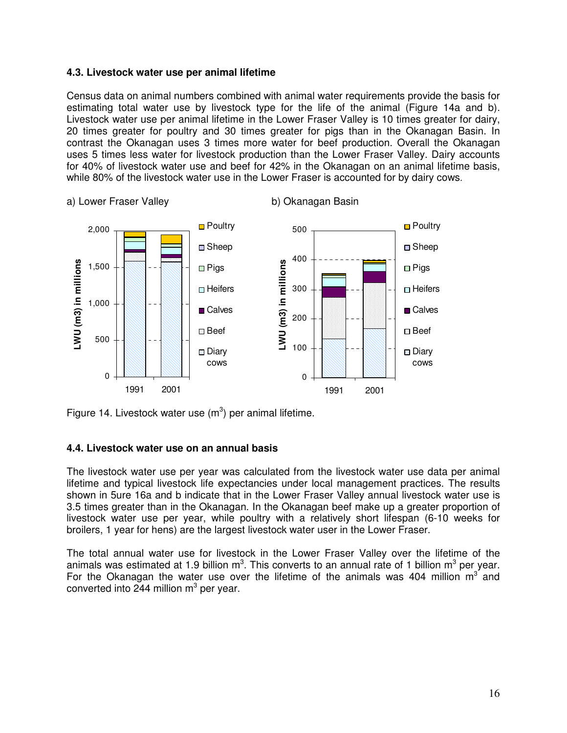#### **4.3. Livestock water use per animal lifetime**

Census data on animal numbers combined with animal water requirements provide the basis for estimating total water use by livestock type for the life of the animal (Figure 14a and b). Livestock water use per animal lifetime in the Lower Fraser Valley is 10 times greater for dairy, 20 times greater for poultry and 30 times greater for pigs than in the Okanagan Basin. In contrast the Okanagan uses 3 times more water for beef production. Overall the Okanagan uses 5 times less water for livestock production than the Lower Fraser Valley. Dairy accounts for 40% of livestock water use and beef for 42% in the Okanagan on an animal lifetime basis, while 80% of the livestock water use in the Lower Fraser is accounted for by dairy cows.



a) Lower Fraser Valley b) Okanagan Basin

Figure 14. Livestock water use  $(m^3)$  per animal lifetime.

#### **4.4. Livestock water use on an annual basis**

The livestock water use per year was calculated from the livestock water use data per animal lifetime and typical livestock life expectancies under local management practices. The results shown in 5ure 16a and b indicate that in the Lower Fraser Valley annual livestock water use is 3.5 times greater than in the Okanagan. In the Okanagan beef make up a greater proportion of livestock water use per year, while poultry with a relatively short lifespan (6-10 weeks for broilers, 1 year for hens) are the largest livestock water user in the Lower Fraser.

The total annual water use for livestock in the Lower Fraser Valley over the lifetime of the animals was estimated at 1.9 billion m<sup>3</sup>. This converts to an annual rate of 1 billion m<sup>3</sup> per year. For the Okanagan the water use over the lifetime of the animals was 404 million  $m^3$  and converted into 244 million  $m^3$  per year.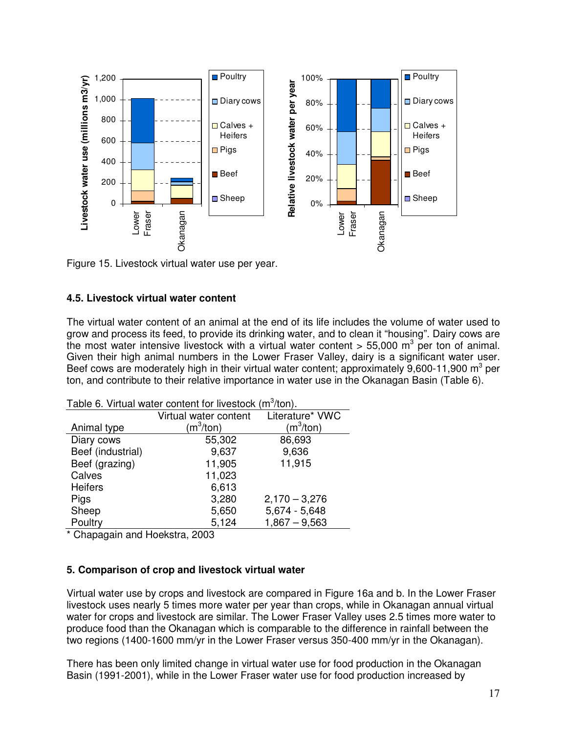

Figure 15. Livestock virtual water use per year.

## **4.5. Livestock virtual water content**

The virtual water content of an animal at the end of its life includes the volume of water used to grow and process its feed, to provide its drinking water, and to clean it "housing". Dairy cows are the most water intensive livestock with a virtual water content  $> 55,000$  m<sup>3</sup> per ton of animal. Given their high animal numbers in the Lower Fraser Valley, dairy is a significant water user. Beef cows are moderately high in their virtual water content; approximately  $9,600$ -11,900 m<sup>3</sup> per ton, and contribute to their relative importance in water use in the Okanagan Basin (Table 6).

|                   | Table 0. VIIIUal Water Content for Investory (III) (IOH). |                 |
|-------------------|-----------------------------------------------------------|-----------------|
|                   | Virtual water content                                     | Literature* VWC |
| Animal type       | $(m^3/ton)$                                               | $(m^3/ton)$     |
| Diary cows        | 55,302                                                    | 86,693          |
| Beef (industrial) | 9,637                                                     | 9,636           |
| Beef (grazing)    | 11,905                                                    | 11,915          |
| Calves            | 11,023                                                    |                 |
| <b>Heifers</b>    | 6,613                                                     |                 |
| Pigs              | 3,280                                                     | $2,170 - 3,276$ |
| Sheep             | 5,650                                                     | $5,674 - 5,648$ |
| Poultry           | 5,124                                                     | $1,867 - 9,563$ |

Table 6. Virtual water content for livestock  $(m^3/ton)$ .

\* Chapagain and Hoekstra, 2003

#### **5. Comparison of crop and livestock virtual water**

Virtual water use by crops and livestock are compared in Figure 16a and b. In the Lower Fraser livestock uses nearly 5 times more water per year than crops, while in Okanagan annual virtual water for crops and livestock are similar. The Lower Fraser Valley uses 2.5 times more water to produce food than the Okanagan which is comparable to the difference in rainfall between the two regions (1400-1600 mm/yr in the Lower Fraser versus 350-400 mm/yr in the Okanagan).

There has been only limited change in virtual water use for food production in the Okanagan Basin (1991-2001), while in the Lower Fraser water use for food production increased by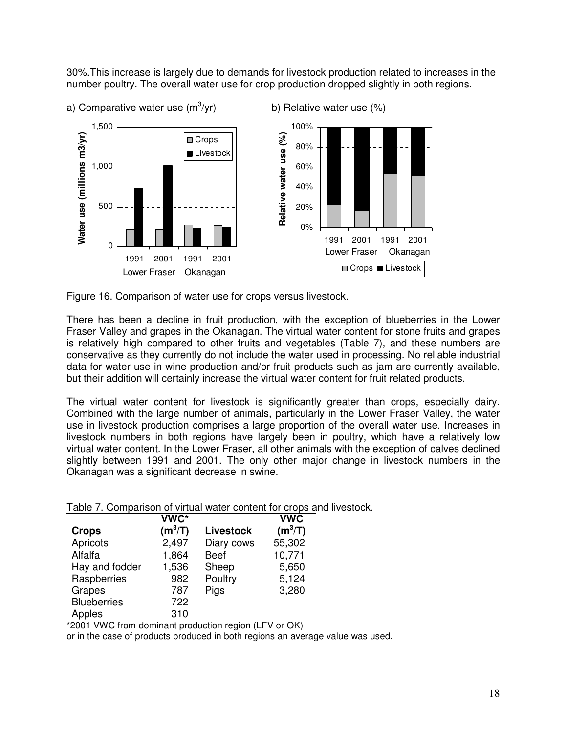30%.This increase is largely due to demands for livestock production related to increases in the number poultry. The overall water use for crop production dropped slightly in both regions.



Figure 16. Comparison of water use for crops versus livestock.

There has been a decline in fruit production, with the exception of blueberries in the Lower Fraser Valley and grapes in the Okanagan. The virtual water content for stone fruits and grapes is relatively high compared to other fruits and vegetables (Table 7), and these numbers are conservative as they currently do not include the water used in processing. No reliable industrial data for water use in wine production and/or fruit products such as jam are currently available, but their addition will certainly increase the virtual water content for fruit related products.

The virtual water content for livestock is significantly greater than crops, especially dairy. Combined with the large number of animals, particularly in the Lower Fraser Valley, the water use in livestock production comprises a large proportion of the overall water use. Increases in livestock numbers in both regions have largely been in poultry, which have a relatively low virtual water content. In the Lower Fraser, all other animals with the exception of calves declined slightly between 1991 and 2001. The only other major change in livestock numbers in the Okanagan was a significant decrease in swine.

|                    | VWC*      |                  | <b>VWC</b> |
|--------------------|-----------|------------------|------------|
| <b>Crops</b>       | $(m^3/T)$ | <b>Livestock</b> | $(m^3/T)$  |
| Apricots           | 2,497     | Diary cows       | 55,302     |
| Alfalfa            | 1,864     | <b>Beef</b>      | 10,771     |
| Hay and fodder     | 1,536     | Sheep            | 5,650      |
| Raspberries        | 982       | Poultry          | 5,124      |
| Grapes             | 787       | Pigs             | 3,280      |
| <b>Blueberries</b> | 722       |                  |            |
| Apples             | 310       |                  |            |

Table 7. Comparison of virtual water content for crops and livestock.

\*2001 VWC from dominant production region (LFV or OK)

or in the case of products produced in both regions an average value was used.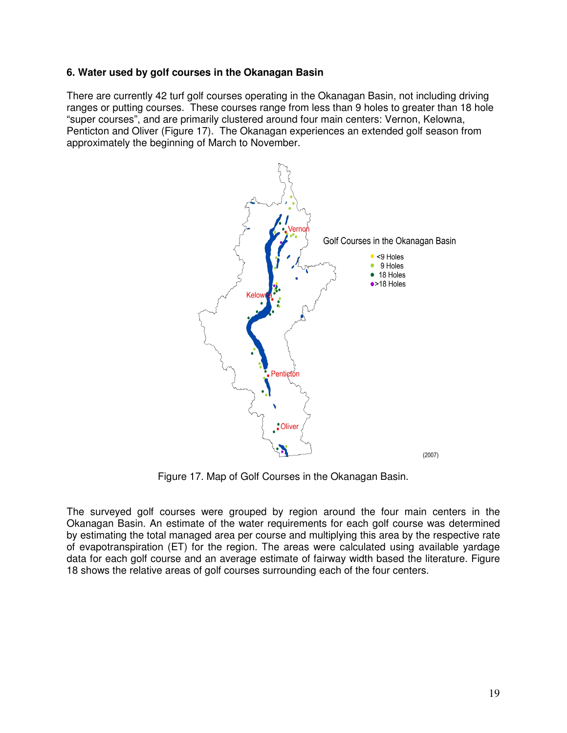## **6. Water used by golf courses in the Okanagan Basin**

There are currently 42 turf golf courses operating in the Okanagan Basin, not including driving ranges or putting courses. These courses range from less than 9 holes to greater than 18 hole "super courses", and are primarily clustered around four main centers: Vernon, Kelowna, Penticton and Oliver (Figure 17). The Okanagan experiences an extended golf season from approximately the beginning of March to November.



Figure 17. Map of Golf Courses in the Okanagan Basin.

The surveyed golf courses were grouped by region around the four main centers in the Okanagan Basin. An estimate of the water requirements for each golf course was determined by estimating the total managed area per course and multiplying this area by the respective rate of evapotranspiration (ET) for the region. The areas were calculated using available yardage data for each golf course and an average estimate of fairway width based the literature. Figure 18 shows the relative areas of golf courses surrounding each of the four centers.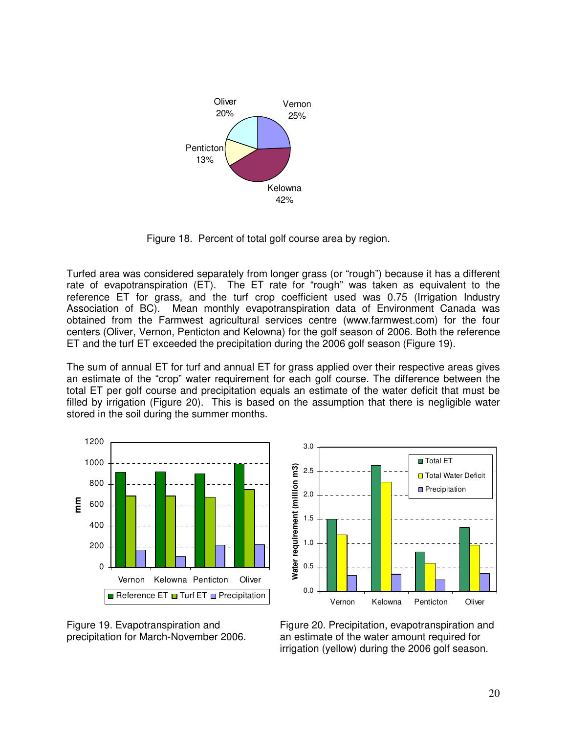

Figure 18. Percent of total golf course area by region.

Turfed area was considered separately from longer grass (or "rough") because it has a different rate of evapotranspiration (ET). The ET rate for "rough" was taken as equivalent to the reference ET for grass, and the turf crop coefficient used was 0.75 (Irrigation Industry Association of BC). Mean monthly evapotranspiration data of Environment Canada was obtained from the Farmwest agricultural services centre (www.farmwest.com) for the four centers (Oliver, Vernon, Penticton and Kelowna) for the golf season of 2006. Both the reference ET and the turf ET exceeded the precipitation during the 2006 golf season (Figure 19).

The sum of annual ET for turf and annual ET for grass applied over their respective areas gives an estimate of the "crop" water requirement for each golf course. The difference between the total ET per golf course and precipitation equals an estimate of the water deficit that must be filled by irrigation (Figure 20). This is based on the assumption that there is negligible water stored in the soil during the summer months.







Figure 20. Precipitation, evapotranspiration and an estimate of the water amount required for irrigation (yellow) during the 2006 golf season.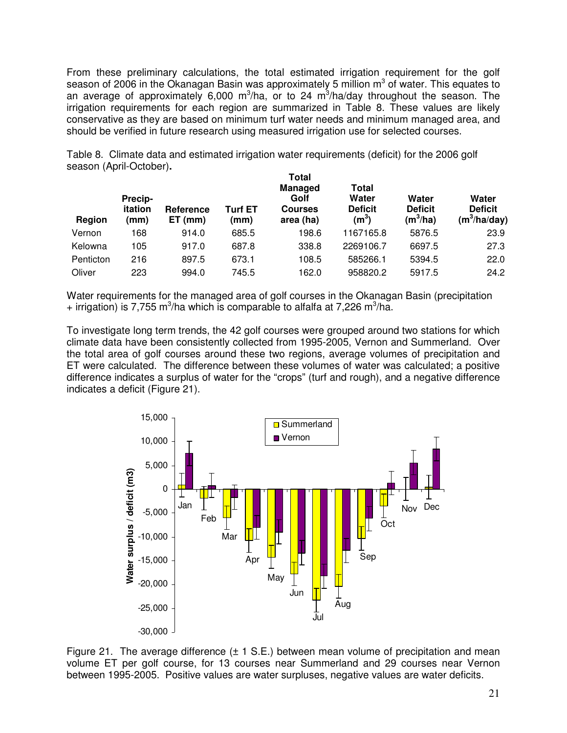From these preliminary calculations, the total estimated irrigation requirement for the golf season of 2006 in the Okanagan Basin was approximately 5 million  $m^3$  of water. This equates to an average of approximately 6,000 m<sup>3</sup>/ha, or to 24 m<sup>3</sup>/ha/day throughout the season. The irrigation requirements for each region are summarized in Table 8. These values are likely conservative as they are based on minimum turf water needs and minimum managed area, and should be verified in future research using measured irrigation use for selected courses.

Table 8. Climate data and estimated irrigation water requirements (deficit) for the 2006 golf season (April-October)**.** 

| Region    | Precip-<br>itation<br>(mm) | <b>Reference</b><br>$ET$ (mm) | <b>Turf ET</b><br>(mm) | Total<br><b>Managed</b><br>Golf<br><b>Courses</b><br>area (ha) | Total<br>Water<br><b>Deficit</b><br>$(m^3)$ | Water<br><b>Deficit</b><br>$(m^3/ha)$ | Water<br><b>Deficit</b><br>(m <sup>3</sup> /ha/day) |
|-----------|----------------------------|-------------------------------|------------------------|----------------------------------------------------------------|---------------------------------------------|---------------------------------------|-----------------------------------------------------|
| Vernon    | 168                        | 914.0                         | 685.5                  | 198.6                                                          | 1167165.8                                   | 5876.5                                | 23.9                                                |
| Kelowna   | 105                        | 917.0                         | 687.8                  | 338.8                                                          | 2269106.7                                   | 6697.5                                | 27.3                                                |
| Penticton | 216                        | 897.5                         | 673.1                  | 108.5                                                          | 585266.1                                    | 5394.5                                | 22.0                                                |
| Oliver    | 223                        | 994.0                         | 745.5                  | 162.0                                                          | 958820.2                                    | 5917.5                                | 24.2                                                |

Water requirements for the managed area of golf courses in the Okanagan Basin (precipitation  $+$  irrigation) is 7,755 m<sup>3</sup>/ha which is comparable to alfalfa at 7,226 m<sup>3</sup>/ha.

To investigate long term trends, the 42 golf courses were grouped around two stations for which climate data have been consistently collected from 1995-2005, Vernon and Summerland. Over the total area of golf courses around these two regions, average volumes of precipitation and ET were calculated. The difference between these volumes of water was calculated; a positive difference indicates a surplus of water for the "crops" (turf and rough), and a negative difference indicates a deficit (Figure 21).



Figure 21. The average difference  $(\pm 1 \text{ S.E.})$  between mean volume of precipitation and mean volume ET per golf course, for 13 courses near Summerland and 29 courses near Vernon between 1995-2005. Positive values are water surpluses, negative values are water deficits.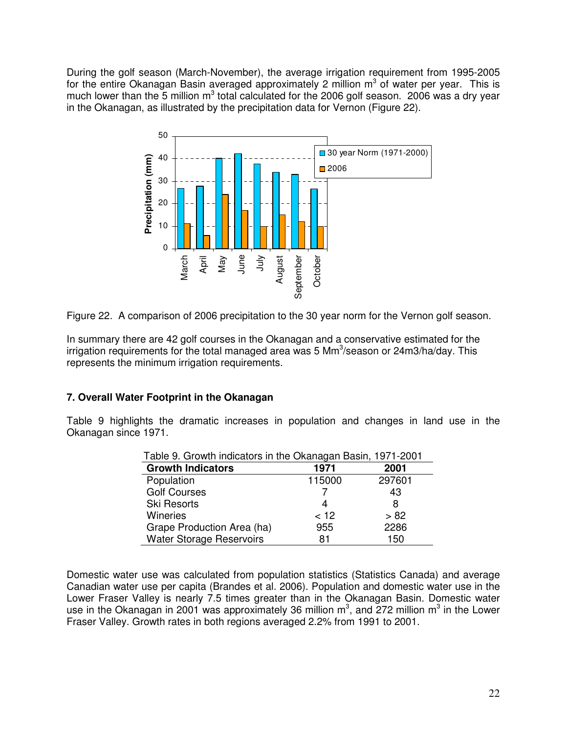During the golf season (March-November), the average irrigation requirement from 1995-2005 for the entire Okanagan Basin averaged approximately 2 million  $m^3$  of water per year. This is much lower than the 5 million  $m^3$  total calculated for the 2006 golf season. 2006 was a dry year in the Okanagan, as illustrated by the precipitation data for Vernon (Figure 22).



Figure 22. A comparison of 2006 precipitation to the 30 year norm for the Vernon golf season.

In summary there are 42 golf courses in the Okanagan and a conservative estimated for the irrigation requirements for the total managed area was 5 Mm<sup>3</sup>/season or 24m3/ha/day. This represents the minimum irrigation requirements.

# **7. Overall Water Footprint in the Okanagan**

Table 9 highlights the dramatic increases in population and changes in land use in the Okanagan since 1971.

| Table 9. Growth indicators in the Okanagan Basin, 1971-2001 |        |        |  |  |  |
|-------------------------------------------------------------|--------|--------|--|--|--|
| <b>Growth Indicators</b>                                    | 1971   | 2001   |  |  |  |
| Population                                                  | 115000 | 297601 |  |  |  |
| <b>Golf Courses</b>                                         |        | 43     |  |  |  |
| <b>Ski Resorts</b>                                          | 4      | 8      |  |  |  |
| <b>Wineries</b>                                             | < 12   | > 82   |  |  |  |
| Grape Production Area (ha)                                  | 955    | 2286   |  |  |  |
| <b>Water Storage Reservoirs</b>                             | 81     | 150    |  |  |  |

Domestic water use was calculated from population statistics (Statistics Canada) and average Canadian water use per capita (Brandes et al. 2006). Population and domestic water use in the Lower Fraser Valley is nearly 7.5 times greater than in the Okanagan Basin. Domestic water use in the Okanagan in 2001 was approximately 36 million  $m^3$ , and 272 million  $m^3$  in the Lower Fraser Valley. Growth rates in both regions averaged 2.2% from 1991 to 2001.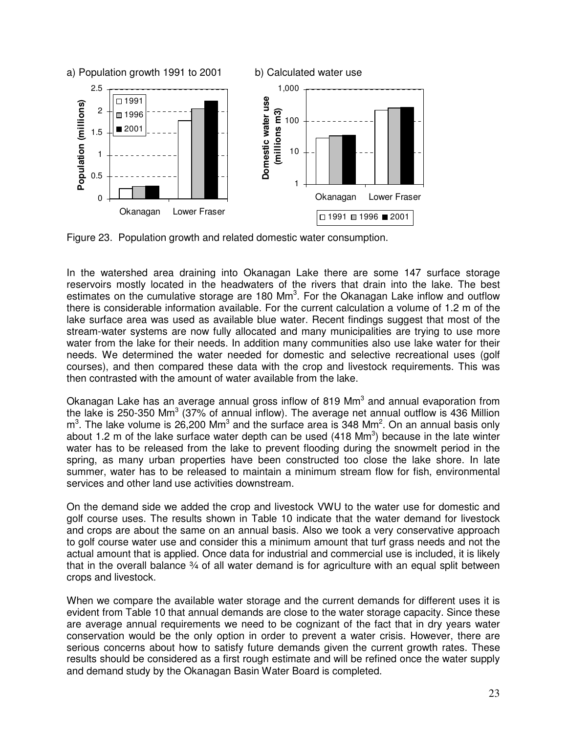

Figure 23. Population growth and related domestic water consumption.

In the watershed area draining into Okanagan Lake there are some 147 surface storage reservoirs mostly located in the headwaters of the rivers that drain into the lake. The best estimates on the cumulative storage are 180  $\text{Mm}^3$ . For the Okanagan Lake inflow and outflow there is considerable information available. For the current calculation a volume of 1.2 m of the lake surface area was used as available blue water. Recent findings suggest that most of the stream-water systems are now fully allocated and many municipalities are trying to use more water from the lake for their needs. In addition many communities also use lake water for their needs. We determined the water needed for domestic and selective recreational uses (golf courses), and then compared these data with the crop and livestock requirements. This was then contrasted with the amount of water available from the lake.

Okanagan Lake has an average annual gross inflow of 819  $\text{Mm}^3$  and annual evaporation from the lake is 250-350 Mm<sup>3</sup> (37% of annual inflow). The average net annual outflow is 436 Million  $m<sup>3</sup>$ . The lake volume is 26,200 Mm<sup>3</sup> and the surface area is 348 Mm<sup>2</sup>. On an annual basis only about 1.2 m of the lake surface water depth can be used (418 Mm<sup>3</sup>) because in the late winter water has to be released from the lake to prevent flooding during the snowmelt period in the spring, as many urban properties have been constructed too close the lake shore. In late summer, water has to be released to maintain a minimum stream flow for fish, environmental services and other land use activities downstream.

On the demand side we added the crop and livestock VWU to the water use for domestic and golf course uses. The results shown in Table 10 indicate that the water demand for livestock and crops are about the same on an annual basis. Also we took a very conservative approach to golf course water use and consider this a minimum amount that turf grass needs and not the actual amount that is applied. Once data for industrial and commercial use is included, it is likely that in the overall balance 34 of all water demand is for agriculture with an equal split between crops and livestock.

When we compare the available water storage and the current demands for different uses it is evident from Table 10 that annual demands are close to the water storage capacity. Since these are average annual requirements we need to be cognizant of the fact that in dry years water conservation would be the only option in order to prevent a water crisis. However, there are serious concerns about how to satisfy future demands given the current growth rates. These results should be considered as a first rough estimate and will be refined once the water supply and demand study by the Okanagan Basin Water Board is completed.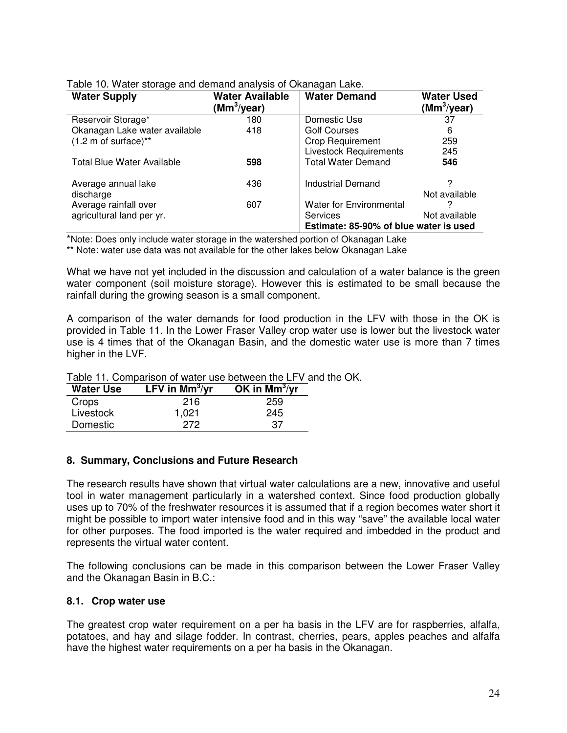| <b>Water Supply</b>                                | Water Available<br>(Mm <sup>3</sup> /year) | <b>Water Demand</b>                                                                  | <b>Water Used</b><br>(Mm <sup>3</sup> /year) |
|----------------------------------------------------|--------------------------------------------|--------------------------------------------------------------------------------------|----------------------------------------------|
| Reservoir Storage*                                 | 180                                        | Domestic Use                                                                         | 37                                           |
| Okanagan Lake water available                      | 418                                        | <b>Golf Courses</b>                                                                  | 6                                            |
| $(1.2 \text{ m of surface})^{**}$                  |                                            | <b>Crop Requirement</b>                                                              | 259                                          |
|                                                    |                                            | <b>Livestock Requirements</b>                                                        | 245                                          |
| <b>Total Blue Water Available</b>                  | 598                                        | <b>Total Water Demand</b>                                                            | 546                                          |
| Average annual lake<br>discharge                   | 436                                        | <b>Industrial Demand</b>                                                             | Not available                                |
| Average rainfall over<br>agricultural land per yr. | 607                                        | <b>Water for Environmental</b><br>Services<br>Estimate: 85-90% of blue water is used | Not available                                |

Table 10. Water storage and demand analysis of Okanagan Lake.

\*Note: Does only include water storage in the watershed portion of Okanagan Lake

\*\* Note: water use data was not available for the other lakes below Okanagan Lake

What we have not yet included in the discussion and calculation of a water balance is the green water component (soil moisture storage). However this is estimated to be small because the rainfall during the growing season is a small component.

A comparison of the water demands for food production in the LFV with those in the OK is provided in Table 11. In the Lower Fraser Valley crop water use is lower but the livestock water use is 4 times that of the Okanagan Basin, and the domestic water use is more than 7 times higher in the LVF.

| <b>Water Use</b> | LFV in $\text{Mm}^3/\text{yr}$ | OK in $\text{Mm}^3/\text{yr}$ |
|------------------|--------------------------------|-------------------------------|
| Crops            | 216                            | 259                           |
| Livestock        | 1,021                          | 245                           |
| Domestic         | 272                            | 37                            |

Table 11. Comparison of water use between the LFV and the OK.

#### **8. Summary, Conclusions and Future Research**

The research results have shown that virtual water calculations are a new, innovative and useful tool in water management particularly in a watershed context. Since food production globally uses up to 70% of the freshwater resources it is assumed that if a region becomes water short it might be possible to import water intensive food and in this way "save" the available local water for other purposes. The food imported is the water required and imbedded in the product and represents the virtual water content.

The following conclusions can be made in this comparison between the Lower Fraser Valley and the Okanagan Basin in B.C.:

#### **8.1. Crop water use**

The greatest crop water requirement on a per ha basis in the LFV are for raspberries, alfalfa, potatoes, and hay and silage fodder. In contrast, cherries, pears, apples peaches and alfalfa have the highest water requirements on a per ha basis in the Okanagan.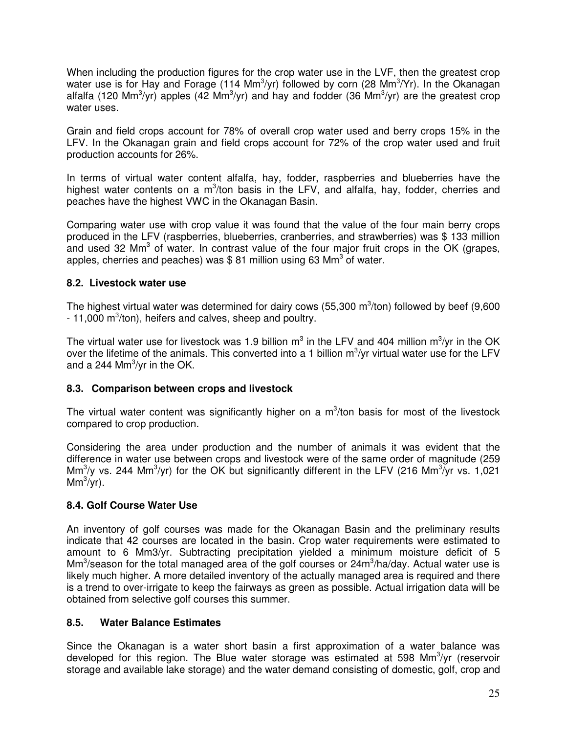When including the production figures for the crop water use in the LVF, then the greatest crop water use is for Hay and Forage (114 Mm<sup>3</sup>/yr) followed by corn (28 Mm<sup>3</sup>/Yr). In the Okanagan alfalfa (120 Mm<sup>3</sup>/yr) apples (42 Mm<sup>3</sup>/yr) and hay and fodder (36 Mm<sup>3</sup>/yr) are the greatest crop water uses.

Grain and field crops account for 78% of overall crop water used and berry crops 15% in the LFV. In the Okanagan grain and field crops account for 72% of the crop water used and fruit production accounts for 26%.

In terms of virtual water content alfalfa, hay, fodder, raspberries and blueberries have the highest water contents on a m<sup>3</sup>/ton basis in the LFV, and alfalfa, hay, fodder, cherries and peaches have the highest VWC in the Okanagan Basin.

Comparing water use with crop value it was found that the value of the four main berry crops produced in the LFV (raspberries, blueberries, cranberries, and strawberries) was \$ 133 million and used 32 Mm<sup>3</sup> of water. In contrast value of the four major fruit crops in the OK (grapes, apples, cherries and peaches) was \$81 million using 63 Mm<sup>3</sup> of water.

## **8.2. Livestock water use**

The highest virtual water was determined for dairy cows (55,300 m $\text{3/ton}$ ) followed by beef (9,600  $-11,000$  m<sup>3</sup>/ton), heifers and calves, sheep and poultry.

The virtual water use for livestock was 1.9 billion m<sup>3</sup> in the LFV and 404 million m<sup>3</sup>/yr in the OK over the lifetime of the animals. This converted into a 1 billion  $m^3$ /yr virtual water use for the LFV and a 244 Mm $\mathrm{3}$ /yr in the OK.

# **8.3. Comparison between crops and livestock**

The virtual water content was significantly higher on a  $m^3$ /ton basis for most of the livestock compared to crop production.

Considering the area under production and the number of animals it was evident that the difference in water use between crops and livestock were of the same order of magnitude (259 Mm<sup>3</sup>/y vs. 244 Mm<sup>3</sup>/yr) for the OK but significantly different in the LFV (216 Mm<sup>3</sup>/yr vs. 1,021  $\mathsf{Mm}^3/\mathrm{yr}$ ).

#### **8.4. Golf Course Water Use**

An inventory of golf courses was made for the Okanagan Basin and the preliminary results indicate that 42 courses are located in the basin. Crop water requirements were estimated to amount to 6 Mm3/yr. Subtracting precipitation yielded a minimum moisture deficit of 5  $\text{Mm}^3$ /season for the total managed area of the golf courses or 24 $\text{m}^3$ /ha/day. Actual water use is likely much higher. A more detailed inventory of the actually managed area is required and there is a trend to over-irrigate to keep the fairways as green as possible. Actual irrigation data will be obtained from selective golf courses this summer.

# **8.5. Water Balance Estimates**

Since the Okanagan is a water short basin a first approximation of a water balance was developed for this region. The Blue water storage was estimated at 598 Mm<sup>3</sup>/yr (reservoir storage and available lake storage) and the water demand consisting of domestic, golf, crop and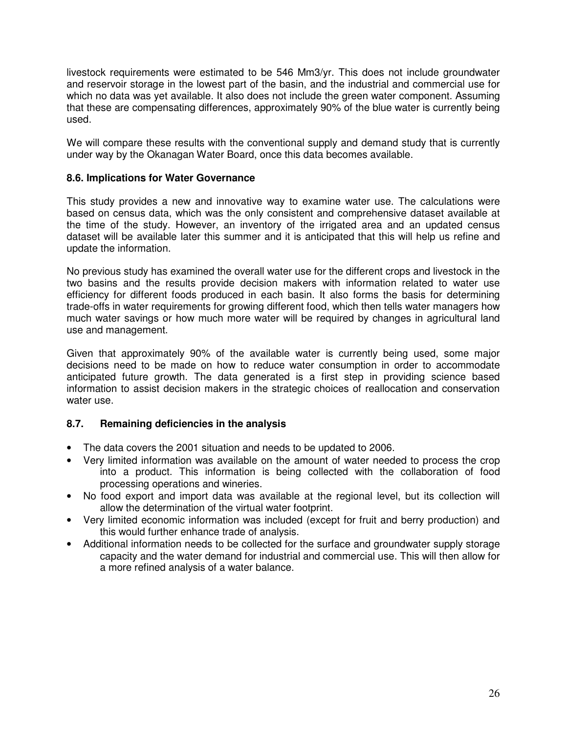livestock requirements were estimated to be 546 Mm3/yr. This does not include groundwater and reservoir storage in the lowest part of the basin, and the industrial and commercial use for which no data was yet available. It also does not include the green water component. Assuming that these are compensating differences, approximately 90% of the blue water is currently being used.

We will compare these results with the conventional supply and demand study that is currently under way by the Okanagan Water Board, once this data becomes available.

## **8.6. Implications for Water Governance**

This study provides a new and innovative way to examine water use. The calculations were based on census data, which was the only consistent and comprehensive dataset available at the time of the study. However, an inventory of the irrigated area and an updated census dataset will be available later this summer and it is anticipated that this will help us refine and update the information.

No previous study has examined the overall water use for the different crops and livestock in the two basins and the results provide decision makers with information related to water use efficiency for different foods produced in each basin. It also forms the basis for determining trade-offs in water requirements for growing different food, which then tells water managers how much water savings or how much more water will be required by changes in agricultural land use and management.

Given that approximately 90% of the available water is currently being used, some major decisions need to be made on how to reduce water consumption in order to accommodate anticipated future growth. The data generated is a first step in providing science based information to assist decision makers in the strategic choices of reallocation and conservation water use.

# **8.7. Remaining deficiencies in the analysis**

- The data covers the 2001 situation and needs to be updated to 2006.
- Very limited information was available on the amount of water needed to process the crop into a product. This information is being collected with the collaboration of food processing operations and wineries.
- No food export and import data was available at the regional level, but its collection will allow the determination of the virtual water footprint.
- Very limited economic information was included (except for fruit and berry production) and this would further enhance trade of analysis.
- Additional information needs to be collected for the surface and groundwater supply storage capacity and the water demand for industrial and commercial use. This will then allow for a more refined analysis of a water balance.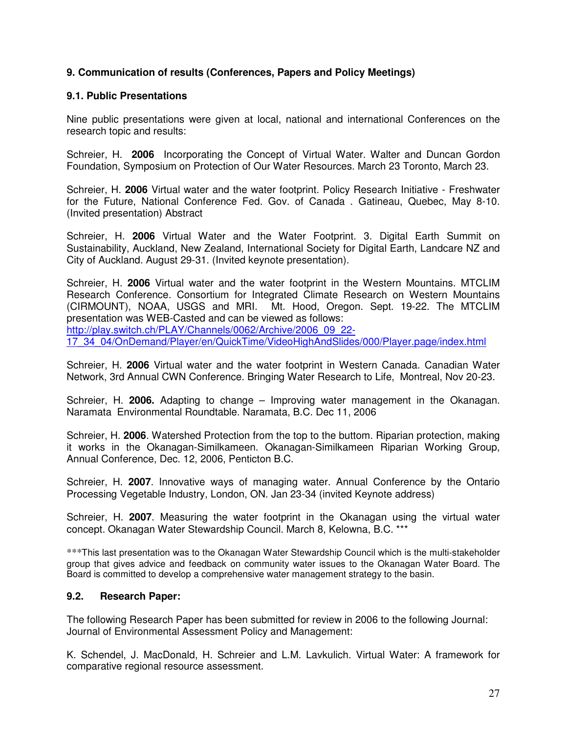# **9. Communication of results (Conferences, Papers and Policy Meetings)**

#### **9.1. Public Presentations**

Nine public presentations were given at local, national and international Conferences on the research topic and results:

Schreier, H. **2006** Incorporating the Concept of Virtual Water. Walter and Duncan Gordon Foundation, Symposium on Protection of Our Water Resources. March 23 Toronto, March 23.

Schreier, H. **2006** Virtual water and the water footprint. Policy Research Initiative - Freshwater for the Future, National Conference Fed. Gov. of Canada . Gatineau, Quebec, May 8-10. (Invited presentation) Abstract

Schreier, H. **2006** Virtual Water and the Water Footprint. 3. Digital Earth Summit on Sustainability, Auckland, New Zealand, International Society for Digital Earth, Landcare NZ and City of Auckland. August 29-31. (Invited keynote presentation).

Schreier, H. **2006** Virtual water and the water footprint in the Western Mountains. MTCLIM Research Conference. Consortium for Integrated Climate Research on Western Mountains (CIRMOUNT), NOAA, USGS and MRI. Mt. Hood, Oregon. Sept. 19-22. The MTCLIM presentation was WEB-Casted and can be viewed as follows: http://play.switch.ch/PLAY/Channels/0062/Archive/2006\_09\_22-

17\_34\_04/OnDemand/Player/en/QuickTime/VideoHighAndSlides/000/Player.page/index.html

Schreier, H. **2006** Virtual water and the water footprint in Western Canada. Canadian Water Network, 3rd Annual CWN Conference. Bringing Water Research to Life, Montreal, Nov 20-23.

Schreier, H. **2006.** Adapting to change – Improving water management in the Okanagan. Naramata Environmental Roundtable. Naramata, B.C. Dec 11, 2006

Schreier, H. **2006**. Watershed Protection from the top to the buttom. Riparian protection, making it works in the Okanagan-Similkameen. Okanagan-Similkameen Riparian Working Group, Annual Conference, Dec. 12, 2006, Penticton B.C.

Schreier, H. **2007**. Innovative ways of managing water. Annual Conference by the Ontario Processing Vegetable Industry, London, ON. Jan 23-34 (invited Keynote address)

Schreier, H. **2007**. Measuring the water footprint in the Okanagan using the virtual water concept. Okanagan Water Stewardship Council. March 8, Kelowna, B.C. \*\*\*

\*\*\*This last presentation was to the Okanagan Water Stewardship Council which is the multi-stakeholder group that gives advice and feedback on community water issues to the Okanagan Water Board. The Board is committed to develop a comprehensive water management strategy to the basin.

## **9.2. Research Paper:**

The following Research Paper has been submitted for review in 2006 to the following Journal: Journal of Environmental Assessment Policy and Management:

K. Schendel, J. MacDonald, H. Schreier and L.M. Lavkulich. Virtual Water: A framework for comparative regional resource assessment.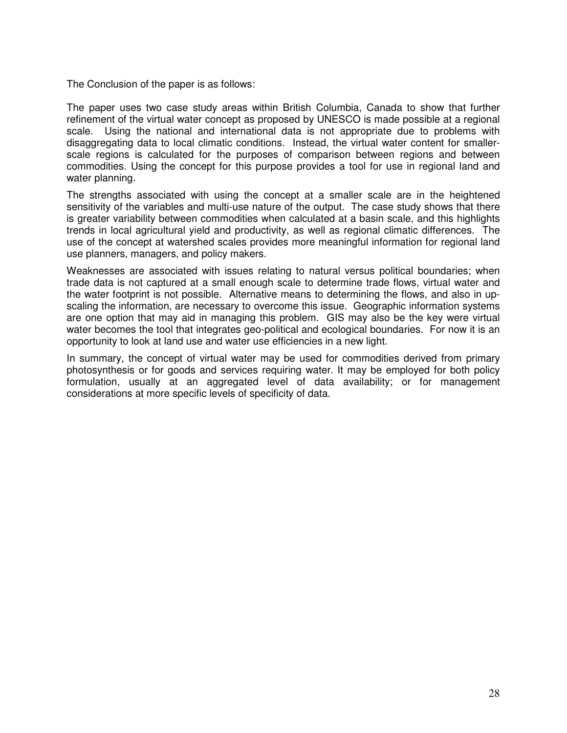The Conclusion of the paper is as follows:

The paper uses two case study areas within British Columbia, Canada to show that further refinement of the virtual water concept as proposed by UNESCO is made possible at a regional scale. Using the national and international data is not appropriate due to problems with disaggregating data to local climatic conditions. Instead, the virtual water content for smallerscale regions is calculated for the purposes of comparison between regions and between commodities. Using the concept for this purpose provides a tool for use in regional land and water planning.

The strengths associated with using the concept at a smaller scale are in the heightened sensitivity of the variables and multi-use nature of the output. The case study shows that there is greater variability between commodities when calculated at a basin scale, and this highlights trends in local agricultural yield and productivity, as well as regional climatic differences. The use of the concept at watershed scales provides more meaningful information for regional land use planners, managers, and policy makers.

Weaknesses are associated with issues relating to natural versus political boundaries; when trade data is not captured at a small enough scale to determine trade flows, virtual water and the water footprint is not possible. Alternative means to determining the flows, and also in upscaling the information, are necessary to overcome this issue. Geographic information systems are one option that may aid in managing this problem. GIS may also be the key were virtual water becomes the tool that integrates geo-political and ecological boundaries. For now it is an opportunity to look at land use and water use efficiencies in a new light.

In summary, the concept of virtual water may be used for commodities derived from primary photosynthesis or for goods and services requiring water. It may be employed for both policy formulation, usually at an aggregated level of data availability; or for management considerations at more specific levels of specificity of data.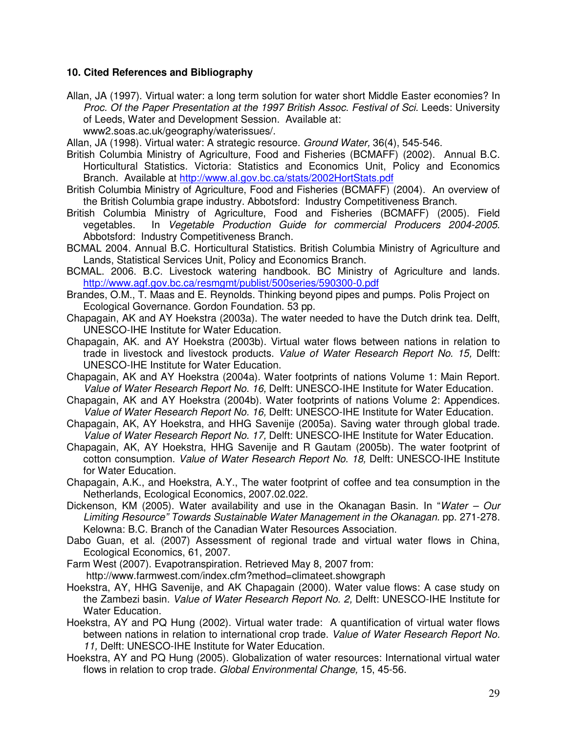## **10. Cited References and Bibliography**

Allan, JA (1997). Virtual water: a long term solution for water short Middle Easter economies? In Proc. Of the Paper Presentation at the 1997 British Assoc. Festival of Sci. Leeds: University of Leeds, Water and Development Session. Available at:

www2.soas.ac.uk/geography/waterissues/.

Allan, JA (1998). Virtual water: A strategic resource. Ground Water, 36(4), 545-546.

- British Columbia Ministry of Agriculture, Food and Fisheries (BCMAFF) (2002). Annual B.C. Horticultural Statistics. Victoria: Statistics and Economics Unit, Policy and Economics Branch. Available at http://www.al.gov.bc.ca/stats/2002HortStats.pdf
- British Columbia Ministry of Agriculture, Food and Fisheries (BCMAFF) (2004). An overview of the British Columbia grape industry. Abbotsford: Industry Competitiveness Branch.
- British Columbia Ministry of Agriculture, Food and Fisheries (BCMAFF) (2005). Field vegetables. In Vegetable Production Guide for commercial Producers 2004-2005. Abbotsford: Industry Competitiveness Branch.
- BCMAL 2004. Annual B.C. Horticultural Statistics. British Columbia Ministry of Agriculture and Lands, Statistical Services Unit, Policy and Economics Branch.
- BCMAL. 2006. B.C. Livestock watering handbook. BC Ministry of Agriculture and lands. http://www.agf.gov.bc.ca/resmgmt/publist/500series/590300-0.pdf
- Brandes, O.M., T. Maas and E. Reynolds. Thinking beyond pipes and pumps. Polis Project on Ecological Governance. Gordon Foundation. 53 pp.
- Chapagain, AK and AY Hoekstra (2003a). The water needed to have the Dutch drink tea. Delft, UNESCO-IHE Institute for Water Education.
- Chapagain, AK. and AY Hoekstra (2003b). Virtual water flows between nations in relation to trade in livestock and livestock products. Value of Water Research Report No. 15, Delft: UNESCO-IHE Institute for Water Education.
- Chapagain, AK and AY Hoekstra (2004a). Water footprints of nations Volume 1: Main Report. Value of Water Research Report No. 16, Delft: UNESCO-IHE Institute for Water Education.
- Chapagain, AK and AY Hoekstra (2004b). Water footprints of nations Volume 2: Appendices. Value of Water Research Report No. 16, Delft: UNESCO-IHE Institute for Water Education.
- Chapagain, AK, AY Hoekstra, and HHG Savenije (2005a). Saving water through global trade. Value of Water Research Report No. 17, Delft: UNESCO-IHE Institute for Water Education.
- Chapagain, AK, AY Hoekstra, HHG Savenije and R Gautam (2005b). The water footprint of cotton consumption. Value of Water Research Report No. 18, Delft: UNESCO-IHE Institute for Water Education.
- Chapagain, A.K., and Hoekstra, A.Y., The water footprint of coffee and tea consumption in the Netherlands, Ecological Economics, 2007.02.022.
- Dickenson, KM (2005). Water availability and use in the Okanagan Basin. In "Water Our Limiting Resource" Towards Sustainable Water Management in the Okanagan. pp. 271-278. Kelowna: B.C. Branch of the Canadian Water Resources Association.
- Dabo Guan, et al. (2007) Assessment of regional trade and virtual water flows in China, Ecological Economics, 61, 2007.
- Farm West (2007). Evapotranspiration. Retrieved May 8, 2007 from:

http://www.farmwest.com/index.cfm?method=climateet.showgraph

- Hoekstra, AY, HHG Savenije, and AK Chapagain (2000). Water value flows: A case study on the Zambezi basin. Value of Water Research Report No. 2, Delft: UNESCO-IHE Institute for Water Education.
- Hoekstra, AY and PQ Hung (2002). Virtual water trade: A quantification of virtual water flows between nations in relation to international crop trade. Value of Water Research Report No. 11, Delft: UNESCO-IHE Institute for Water Education.
- Hoekstra, AY and PQ Hung (2005). Globalization of water resources: International virtual water flows in relation to crop trade. Global Environmental Change, 15, 45-56.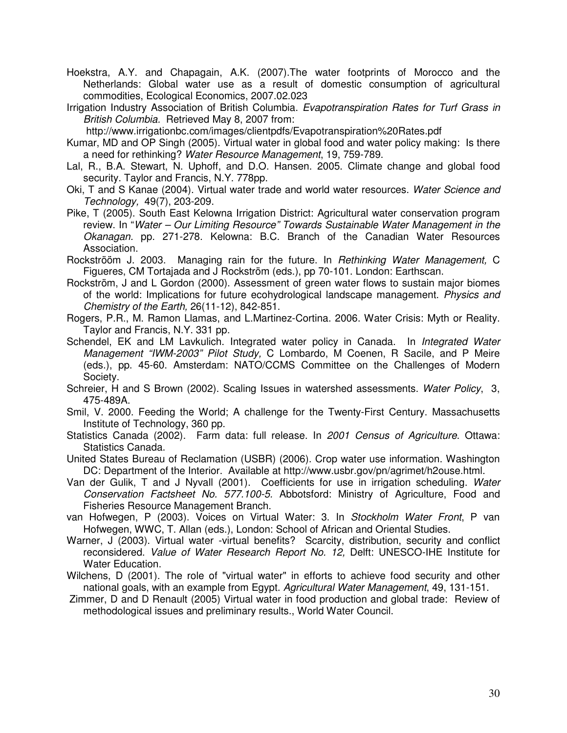- Hoekstra, A.Y. and Chapagain, A.K. (2007).The water footprints of Morocco and the Netherlands: Global water use as a result of domestic consumption of agricultural commodities, Ecological Economics, 2007.02.023
- Irrigation Industry Association of British Columbia. Evapotranspiration Rates for Turf Grass in British Columbia. Retrieved May 8, 2007 from:

http://www.irrigationbc.com/images/clientpdfs/Evapotranspiration%20Rates.pdf

- Kumar, MD and OP Singh (2005). Virtual water in global food and water policy making: Is there a need for rethinking? Water Resource Management, 19, 759-789.
- Lal, R., B.A. Stewart, N. Uphoff, and D.O. Hansen. 2005. Climate change and global food security. Taylor and Francis, N.Y. 778pp.
- Oki, T and S Kanae (2004). Virtual water trade and world water resources. Water Science and Technology, 49(7), 203-209.
- Pike, T (2005). South East Kelowna Irrigation District: Agricultural water conservation program review. In "Water – Our Limiting Resource" Towards Sustainable Water Management in the Okanagan. pp. 271-278. Kelowna: B.C. Branch of the Canadian Water Resources Association.

Rockströöm J. 2003. Managing rain for the future. In Rethinking Water Management, C Figueres, CM Tortajada and J Rockström (eds.), pp 70-101. London: Earthscan.

Rockström, J and L Gordon (2000). Assessment of green water flows to sustain major biomes of the world: Implications for future ecohydrological landscape management. *Physics and* Chemistry of the Earth, 26(11-12), 842-851.

Rogers, P.R., M. Ramon Llamas, and L.Martinez-Cortina. 2006. Water Crisis: Myth or Reality. Taylor and Francis, N.Y. 331 pp.

Schendel, EK and LM Lavkulich. Integrated water policy in Canada. In Integrated Water Management "IWM-2003" Pilot Study, C Lombardo, M Coenen, R Sacile, and P Meire (eds.), pp. 45-60. Amsterdam: NATO/CCMS Committee on the Challenges of Modern Society.

Schreier, H and S Brown (2002). Scaling Issues in watershed assessments. Water Policy, 3, 475-489A.

- Smil, V. 2000. Feeding the World; A challenge for the Twenty-First Century. Massachusetts Institute of Technology, 360 pp.
- Statistics Canada (2002). Farm data: full release. In 2001 Census of Agriculture. Ottawa: Statistics Canada.
- United States Bureau of Reclamation (USBR) (2006). Crop water use information. Washington DC: Department of the Interior. Available at http://www.usbr.gov/pn/agrimet/h2ouse.html.
- Van der Gulik, T and J Nyvall (2001). Coefficients for use in irrigation scheduling. Water Conservation Factsheet No. 577.100-5. Abbotsford: Ministry of Agriculture, Food and Fisheries Resource Management Branch.

van Hofwegen, P (2003). Voices on Virtual Water: 3. In Stockholm Water Front, P van Hofwegen, WWC, T. Allan (eds.), London: School of African and Oriental Studies.

Warner, J (2003). Virtual water -virtual benefits? Scarcity, distribution, security and conflict reconsidered. Value of Water Research Report No. 12, Delft: UNESCO-IHE Institute for Water Education.

Wilchens, D (2001). The role of "virtual water" in efforts to achieve food security and other national goals, with an example from Egypt. Agricultural Water Management, 49, 131-151.

 Zimmer, D and D Renault (2005) Virtual water in food production and global trade: Review of methodological issues and preliminary results., World Water Council.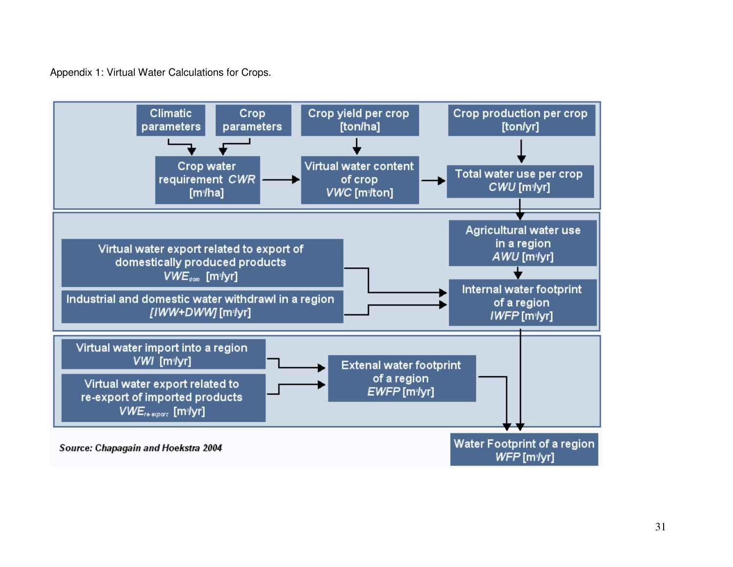Appendix 1: Virtual Water Calculations for Crops.